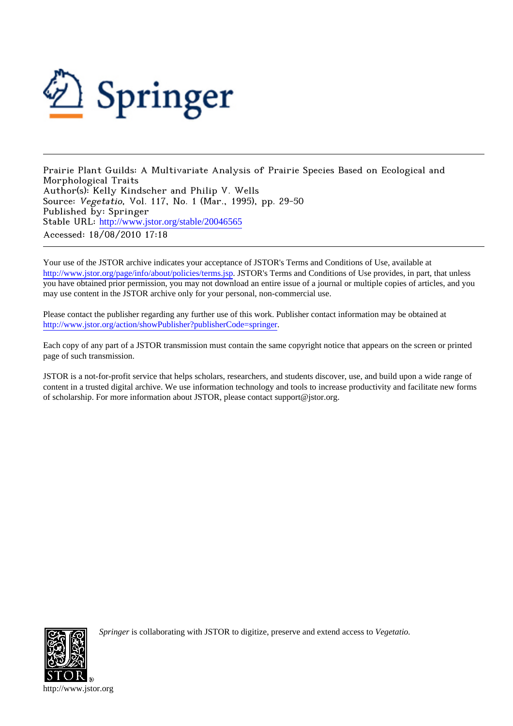

Prairie Plant Guilds: A Multivariate Analysis of Prairie Species Based on Ecological and Morphological Traits Author(s): Kelly Kindscher and Philip V. Wells Source: Vegetatio, Vol. 117, No. 1 (Mar., 1995), pp. 29-50 Published by: Springer Stable URL: [http://www.jstor.org/stable/20046565](http://www.jstor.org/stable/20046565?origin=JSTOR-pdf) Accessed: 18/08/2010 17:18

Your use of the JSTOR archive indicates your acceptance of JSTOR's Terms and Conditions of Use, available at <http://www.jstor.org/page/info/about/policies/terms.jsp>. JSTOR's Terms and Conditions of Use provides, in part, that unless you have obtained prior permission, you may not download an entire issue of a journal or multiple copies of articles, and you may use content in the JSTOR archive only for your personal, non-commercial use.

Please contact the publisher regarding any further use of this work. Publisher contact information may be obtained at [http://www.jstor.org/action/showPublisher?publisherCode=springer.](http://www.jstor.org/action/showPublisher?publisherCode=springer)

Each copy of any part of a JSTOR transmission must contain the same copyright notice that appears on the screen or printed page of such transmission.

JSTOR is a not-for-profit service that helps scholars, researchers, and students discover, use, and build upon a wide range of content in a trusted digital archive. We use information technology and tools to increase productivity and facilitate new forms of scholarship. For more information about JSTOR, please contact support@jstor.org.



*Springer* is collaborating with JSTOR to digitize, preserve and extend access to *Vegetatio.*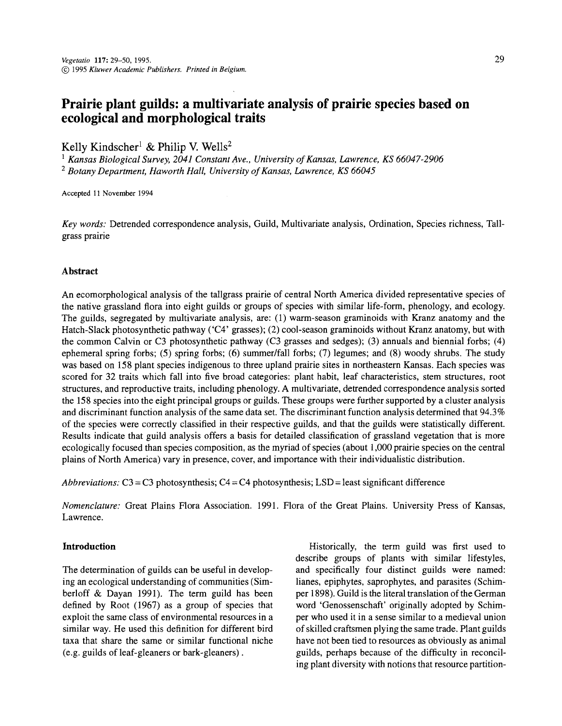**29** 

# **Prairie plant guilds: a multivariate analysis of prairie species based on ecological and morphological traits**

**Kelly Kindscher1 & Philip V. Wells2** 

**1 Kansas Biological Survey, 2041 Constant Ave., University of Kansas, Lawrence, KS 66047-2906**  <sup>2</sup> Botany Department, Haworth Hall, University of Kansas, Lawrence, KS 6604

**Accepted 11 November 1994** 

**Key words: Detrended correspondence analysis, Guild, Multivariate analysis, Ordination, Species richness, Tall grass prairie** 

# **Abstract**

**An ecomorphological analysis of the tallgrass prairie of central North America divided representative species of the native grassland flora into eight guilds or groups of species with similar life-form, phenology, and ecology. The guilds, segregated by multivariate analysis, are: (1) warm-season graminoids with Kranz anatomy and the Hatch-Slack photosynthetic pathway ('C4' grasses); (2) cool-season graminoids without Kranz anatomy, but with the common Calvin or C3 photosynthetic pathway (C3 grasses and sedges); (3) annuals and biennial forbs; (4) ephemeral spring forbs; (5) spring forbs; (6) summer/fall forbs; (7) legumes; and (8) woody shrubs. The study was based on 158 plant species indigenous to three upland prairie sites in northeastern Kansas. Each species was scored for 32 traits which fall into five broad categories: plant habit, leaf characteristics, stem structures, root structures, and reproductive traits, including phenology. A multivariate, detrended correspondence analysis sorted the 158 species into the eight principal groups or guilds. These groups were further supported by a cluster analysis and discriminant function analysis of the same data set. The discriminant function analysis determined that 94.3% of the species were correctly classified in their respective guilds, and that the guilds were statistically different. Results indicate that guild analysis offers a basis for detailed classification of grassland vegetation that is more ecologically focused than species composition, as the myriad of species (about 1,000 prairie species on the central plains of North America) vary in presence, cover, and importance with their individualistic distribution.** 

**Abbreviations: C3 = C3 photosynthesis; C4 = C4 photosynthesis; LSD = least significant difference** 

**Nomenclature: Great Plains Flora Association. 1991. Flora of the Great Plains. University Press of Kansas, Lawrence.** 

# **Introduction**

The determination of guilds can be useful in develop**ing an ecological understanding of communities (Sim**  berloff & Dayan 1991). The term guild has been **defined by Root (1967) as a group of species that exploit the same class of environmental resources in a similar way. He used this definition for different bird taxa that share the same or similar functional niche (e.g. guilds of leaf-gleaners or bark-gleaners).** 

**Historically, the term guild was first used to describe groups of plants with similar lifestyles, and specifically four distinct guilds were named: lianes, epiphytes, saprophytes, and parasites (Schim per 1898). Guild is the literal translation of the German word 'Genossenschaft' originally adopted by Schim per who used it in a sense similar to a medieval union of skilled craftsmen plying the same trade. Plant guilds have not been tied to resources as obviously as animal guilds, perhaps because of the difficulty in reconcil ing plant diversity with notions that resource partition**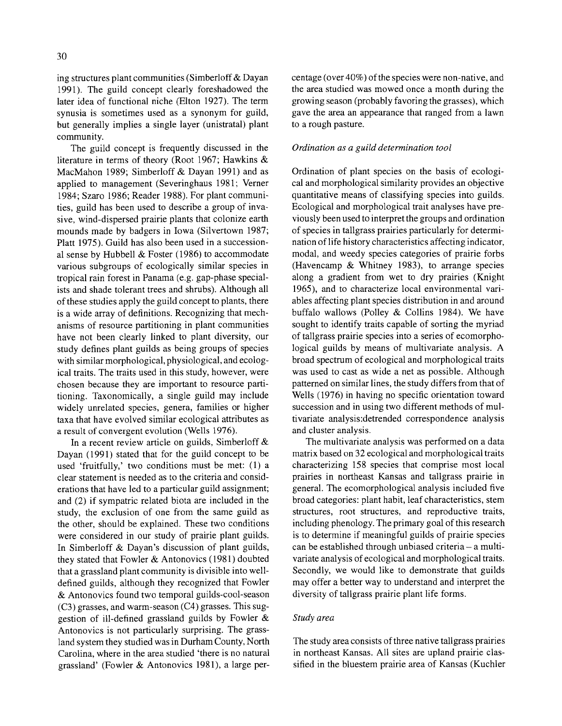**ing structures plant communities (Simberloff & Day an 1991). The guild concept clearly foreshadowed the later idea of functional niche (Elton 1927). The term synusia is sometimes used as a synonym for guild, but generally implies a single layer (unistratal) plant** 

**community.** The guild concept is frequently discussed in the  $\frac{10}{2}$ **literature in terms of theory (Root 1967; Hawkins & MacMahon 1989; Simberloff & Dayan 1991) and as applied to management (Severinghaus 1981; Verner 1984; Szaro 1986; Reader 1988). For plant communi ties, guild has been used to describe a group of inva sive, wind-dispersed prairie plants that colonize earth mounds made by badgers in Iowa (Silvertown 1987;**  Platt 1975). Guild has also been used in a succession**al sense by Hubbell & Foster (1986) to accommodate various subgroups of ecologically similar species in tropical rain forest in Panama (e.g. gap-phase special ists and shade tolerant trees and shrubs). Although all of these studies apply the guild concept to plants, there is a wide array of definitions. Recognizing that mech anisms of resource partitioning in plant communities have not been clearly linked to plant diversity, our study defines plant guilds as being groups of species with similar morphological, physiological, and ecolog ical traits. The traits used in this study, however, were**  chosen because they are important to resource parti**tioning. Taxonomically, a single guild may include widely unrelated species, genera, families or higher taxa that have evolved similar ecological attributes as a result of convergent evolution (Wells 1976).** 

**In a recent review article on guilds, Simberloff & Dayan (1991) stated that for the guild concept to be used 'fruitfully,' two conditions must be met: (1) a clear statement is needed as to the criteria and consid erations that have led to a particular guild assignment; and (2) if sympatric related biota are included in the study, the exclusion of one from the same guild as the other, should be explained. These two conditions were considered in our study of prairie plant guilds. In Simberloff & Dayan's discussion of plant guilds, they stated that Fowler & Antonovics (1981) doubted that a grassland plant community is divisible into well defined guilds, although they recognized that Fowler & Antonovics found two temporal guilds-cool-season (C3) grasses, and warm-season (C4) grasses. This sug gestion of ill-defined grassland guilds by Fowler & Antonovics is not particularly surprising. The grass land system they studied was in Durham County, North Carolina, where in the area studied 'there is no natural grassland' (Fowler & Antonovics 1981), a large per**  **centage (over 40%) of the species were non-native, and the area studied was mowed once a month during the growing season (probably favoring the grasses), which gave the area an appearance that ranged from a lawn to a rough pasture.** 

# **Ordination as a guild determination tool**

**Ordination of plant species on the basis of ecologi cal and morphological similarity provides an objective quantitative means of classifying species into guilds. Ecological and morphological trait analyses have pre viously been used to interpret the groups and ordination of species in tallgrass prairies particularly for determi nation of life history characteristics affecting indicator, modal, and weedy species categories of prairie forbs (Havencamp & Whitney 1983), to arrange species along a gradient from wet to dry prairies (Knight**  1965), and to characterize local environmental vari**ables affecting plant species distribution in and around buffalo wallows (Polley & Collins 1984). We have sought to identify traits capable of sorting the myriad of tallgrass prairie species into a series of ecomorpho logical guilds by means of multivariate analysis. A broad spectrum of ecological and morphological traits was used to cast as wide a net as possible. Although patterned on similar lines, the study differs from that of Wells (1976) in having no specific orientation toward**  succession and in using two different methods of mul**tivariate analysis:detrended correspondence analysis and cluster analysis.** 

**The multivariate analysis was performed on a data matrix based on 32 ecological and morphological traits characterizing 158 species that comprise most local prairies in northeast Kansas and tallgrass prairie in general. The ecomorphological analysis included five broad categories: plant habit, leaf characteristics, stem structures, root structures, and reproductive traits, including phenology. The primary goal of this research is to determine if meaningful guilds of prairie species**  can be established through unbiased criteria - a multi**variate analysis of ecological and morphological traits. Secondly, we would like to demonstrate that guilds may offer a better way to understand and interpret the diversity of tallgrass prairie plant life forms.** 

# **Study area**

**The study area consists of three native tallgrass prairies in northeast Kansas. All sites are upland prairie clas sified in the bluestem prairie area of Kansas (Kuchler**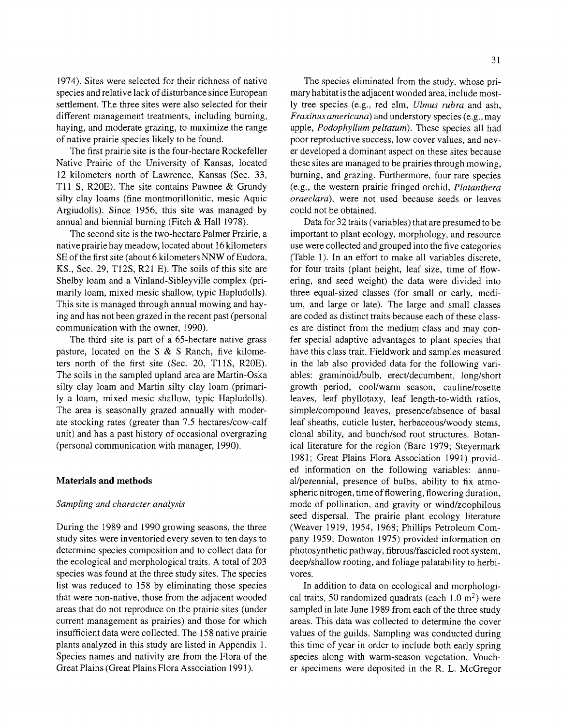**1974). Sites were selected for their richness of native species and relative lack of disturbance since European settlement. The three sites were also selected for their different management treatments, including burning, haying, and moderate grazing, to maximize the range of native prairie species likely to be found.** 

**The first prairie site is the four-hectare Rockefeller Native Prairie of the University of Kansas, located 12 kilometers north of Lawrence, Kansas (Sec. 33, Til S, R20E). The site contains Pawnee & Grundy silty clay loams (fine montmorillonitic, mesic Aquic Argiudolls). Since 1956, this site was managed by annual and biennial burning (Fitch & Hall 1978).** 

**The second site is the two-hectare Palmer Prairie, a native prairie hay meadow, located about 16 kilometers SE of the first site (about 6 kilometers NNW of Eudora, KS., Sec. 29, T12S, R21 E). The soils of this site are**  Shelby loam and a Vinland-Sibleyville complex (pri**marily loam, mixed mesic shallow, typic Hapludolls). This site is managed through annual mowing and hay ing and has not been grazed in the recent past (personal communication with the owner, 1990).** 

**The third site is part of a 65-hectare native grass pasture, located on the S & S Ranch, five kilome ters north of the first site (Sec. 20, TUS, R20E). The soils in the sampled upland area are Martin-Oska**  silty clay loam and Martin silty clay loam (primari**ly a loam, mixed mesic shallow, typic Hapludolls). The area is seasonally grazed annually with moder ate stocking rates (greater than 7.5 hectares/cow-calf unit) and has a past history of occasional overgrazing (personal communication with manager, 1990).** 

# **Materials and methods**

# **Sampling and character analysis**

**During the 1989 and 1990 growing seasons, the three study sites were inventoried every seven to ten days to determine species composition and to collect data for the ecological and morphological traits. A total of 203 species was found at the three study sites. The species list was reduced to 158 by eliminating those species that were non-native, those from the adjacent wooded areas that do not reproduce on the prairie sites (under current management as prairies) and those for which insufficient data were collected. The 158 native prairie plants analyzed in this study are listed in Appendix 1. Species names and nativity are from the Flora of the Great Plains (Great Plains Flora Association 1991).** 

The species eliminated from the study, whose pri**mary habitat is the adjacent wooded area, include most ly tree species (e.g., red elm, Ulmus rubra and ash, Fraxinusamericana) and understory species (e.g., may apple, Podophyllum peltatum). These species all had poor reproductive success, low cover values, and nev er developed a dominant aspect on these sites because these sites are managed to be prairies through mowing, burning, and grazing. Furthermore, four rare species (e.g., the western prairie fringed orchid, Platanthera oraeclard), were not used because seeds or leaves could not be obtained.** 

**Data for 32 traits (variables) that are presumed to be important to plant ecology, morphology, and resource use were collected and grouped into the five categories (Table 1). In an effort to make all variables discrete, for four traits (plant height, leaf size, time of flow ering, and seed weight) the data were divided into**  three equal-sized classes (for small or early, medi**um, and large or late). The large and small classes are coded as distinct traits because each of these class**  es are distinct from the medium class and may con**fer special adaptive advantages to plant species that have this class trait. Fieldwork and samples measured**  in the lab also provided data for the following vari**ables: graminoid/bulb, erect/decumbent, long/short growth period, cool/warm season, cauline/rosette leaves, leaf phyllotaxy, leaf length-to-width ratios, simple/compound leaves, presence/absence of basal leaf sheaths, cuticle luster, herbaceous/woody stems, clonal ability, and bunch/sod root structures. Botan ical literature for the region (Bare 1979; Steyermark 1981; Great Plains Flora Association 1991) provid ed information on the following variables: annu al/perennial, presence of bulbs, ability to fix atmo spheric nitrogen, time of flowering, flowering duration, mode of pollination, and gravity or wind/zoophilous seed dispersal. The prairie plant ecology literature (Weaver 1919, 1954, 1968; Phillips Petroleum Com pany 1959; Downton 1975) provided information on photosynthetic pathway, fibrous/fascicled root system, deep/shallow rooting, and foliage palatability to herbi vores.** 

In addition to data on ecological and morphologi**cal traits, 50 randomized quadrats (each 1.0 m2) were sampled in late June 1989 from each of the three study areas. This data was collected to determine the cover values of the guilds. Sampling was conducted during this time of year in order to include both early spring**  species along with warm-season vegetation. Vouch**er specimens were deposited in the R. L. McGregor**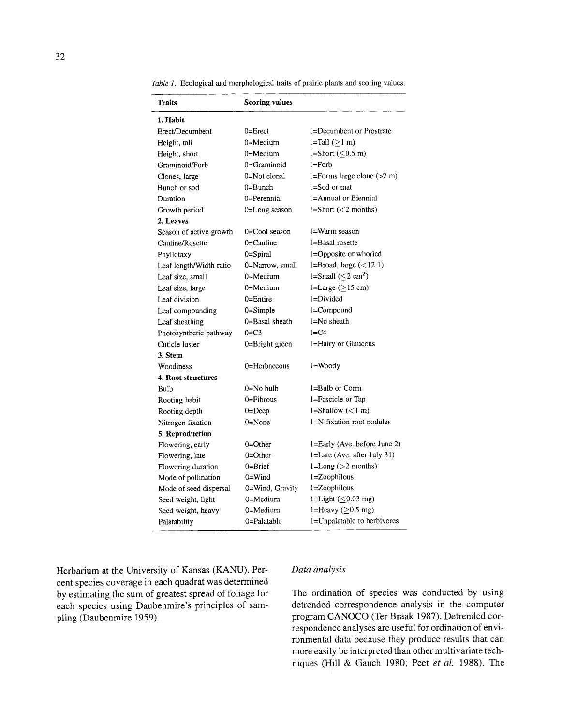**Table 1. Ecological and morphological traits of prairie plants and scoring values.** 

| <b>Traits</b>           | Scoring values     |                                   |
|-------------------------|--------------------|-----------------------------------|
| 1. Habit                |                    |                                   |
| Erect/Decumbent         | $0 =$ Erect        | 1=Decumbent or Prostrate          |
| Height, tall            | $0 = Medium$       | $l = Tall(>1 m)$                  |
| Height, short           | $0 = Medium$       | l=Short $(\leq 0.5 \text{ m})$    |
| Graminoid/Forb          | $0 =$ Graminoid    | $l =$ Forb                        |
| Clones, large           | 0=Not clonal       | 1=Forms large clone $(>2 m)$      |
| Bunch or sod            | $0 = B$ unch       | $l = S$ od or mat                 |
| Duration                | 0=Perennial        | 1=Annual or Biennial              |
| Growth period           | 0=Long season      | $l = Short \ (< 2 months)$        |
| 2. Leaves               |                    |                                   |
| Season of active growth | 0=Cool season      | 1=Warm season                     |
| Cauline/Rosette         | $0 =$ Cauline      | 1=Basal rosette                   |
| Phyllotaxy              | $0 =$ Spiral       | 1=Opposite or whorled             |
| Leaf length/Width ratio | 0=Narrow, small    | $l = Broad$ , large $($           |
| Leaf size, small        | $0 = Medium$       | $l = Small (\leq 2 \text{ cm}^2)$ |
| Leaf size, large        | $0 =$ Medium       | $l = Large (> 15 cm)$             |
| Leaf division           | $0 =$ Entire       | $l = Divided$                     |
| Leaf compounding        | $0 =$ Simple       | 1=Compound                        |
| Leaf sheathing          | 0=Basal sheath     | $l = No$ sheath                   |
| Photosynthetic pathway  | $0 = C3$           | $1 = C4$                          |
| Cuticle luster          | $0 =$ Bright green | 1=Hairy or Glaucous               |
| 3. Stem                 |                    |                                   |
| Woodiness               | 0=Herbaceous       | 1=Woody                           |
| 4. Root structures      |                    |                                   |
| Bulb                    | $0 = No$ bulb      | 1=Bulb or Corm                    |
| Rooting habit           | $0 =$ Fibrous      | 1=Fascicle or Tap                 |
| Rooting depth           | $0 = Deep$         | $l = Shallow (m$ )                |
| Nitrogen fixation       | $0 = None$         | $l=N$ -fixation root nodules      |
| 5. Reproduction         |                    |                                   |
| Flowering, early        | $0 =$ Other        | $1 =$ Early (Ave. before June 2)  |
| Flowering, late         | $0 = Other$        | 1=Late (Ave. after July 31)       |
| Flowering duration      | $0 = B$ rief       | $l = Long (>2$ months)            |
| Mode of pollination     | $0=$ Wind          | l=Zoophilous                      |
| Mode of seed dispersal  | 0=Wind, Gravity    | 1=Zoophilous                      |
| Seed weight, light      | $0 = Medium$       | 1=Light $(\leq 0.03$ mg)          |
| Seed weight, heavy      | $0 = Medium$       | 1=Heavy ( $\geq$ 0.5 mg)          |
| Palatability            | 0=Palatable        | 1=Unpalatable to herbivores       |

**Herbarium at the University of Kansas (KANU). Per cent species coverage in each quadrat was determined by estimating the sum of greatest spread of foliage for each species using Daubenmire's principles of sam pling (Daubenmire 1959).** 

# **Data analysis**

**The ordination of species was conducted by using detrended correspondence analysis in the computer program CANOCO (Ter Braak 1987). Detrended cor respondence analyses are useful for ordination of envi ronmental data because they produce results that can more easily be interpreted than other multivariate tech niques (Hill & Gauch 1980; Peet et al 1988). The**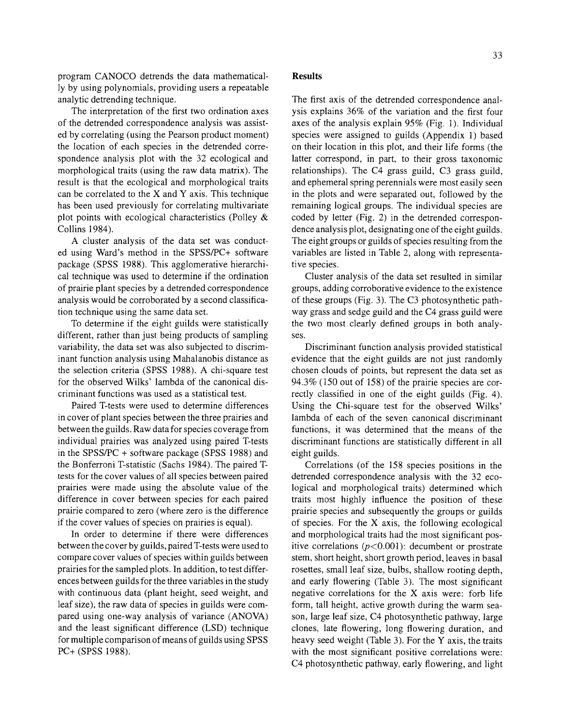**program CANOCO detrends the data mathematical ly by using polynomials, providing users a repeatable analytic detrending technique.** 

**The interpretation of the first two ordination axes of the detrended correspondence analysis was assist ed by correlating (using the Pearson product moment) the location of each species in the detrended corre spondence analysis plot with the 32 ecological and morphological traits (using the raw data matrix). The result is that the ecological and morphological traits can be correlated to the X and Y axis. This technique has been used previously for correlating multivariate plot points with ecological characteristics (Polley & Collins 1984).** 

**A cluster analysis of the data set was conduct ed using Ward's method in the SPSS/PC+ software package (SPSS 1988). This agglomerative hierarchi cal technique was used to determine if the ordination of prairie plant species by a detrended correspondence analysis would be corroborated by a second classifica tion technique using the same data set.** 

**To determine if the eight guilds were statistically different, rather than just being products of sampling variability, the data set was also subjected to discrim inant function analysis using Mahalanobis distance as the selection criteria (SPSS 1988). A chi-square test for the observed Wilks' lambda of the canonical dis criminant functions was used as a statistical test.** 

**Paired T-tests were used to determine differences in cover of plant species between the three prairies and between the guilds. Raw data for species coverage from individual prairies was analyzed using paired T-tests in the SPSS/PC + software package (SPSS 1988) and the Bonferroni T-statistic (Sachs 1984). The paired T tests for the cover values of all species between paired prairies were made using the absolute value of the difference in cover between species for each paired prairie compared to zero (where zero is the difference if the cover values of species on prairies is equal).** 

**In order to determine if there were differences between the cover by guilds, paired T-tests were used to compare cover values of species within guilds between prairies for the sampled plots. In addition, to test differ ences between guilds for the three variables in the study with continuous data (plant height, seed weight, and leaf size), the raw data of species in guilds were com pared using one-way analysis of variance (ANOVA) and the least significant difference (LSD) technique for multiple comparison of means of guilds using SPSS PC+ (SPSS 1988).** 

#### **Results**

**The first axis of the detrended correspondence anal ysis explains 36% of the variation and the first four axes of the analysis explain 95% (Fig. 1). Individual species were assigned to guilds (Appendix 1) based on their location in this plot, and their life forms (the latter correspond, in part, to their gross taxonomic relationships). The C4 grass guild, C3 grass guild, and ephemeral spring perennials were most easily seen in the plots and were separated out, followed by the remaining logical groups. The individual species are**  coded by letter (Fig. 2) in the detrended correspon**dence analysis plot, designating one of the eight guilds. The eight groups or guilds of species resulting from the variables are listed in Table 2, along with representa tive species.** 

**Cluster analysis of the data set resulted in similar groups, adding corroborative evidence to the existence of these groups (Fig. 3). The C3 photosynthetic path way grass and sedge guild and the C4 grass guild were the two most clearly defined groups in both analy ses.** 

**Discriminant function analysis provided statistical evidence that the eight guilds are not just randomly chosen clouds of points, but represent the data set as 94.3% (150 out of 158) of the prairie species are cor rectly classified in one of the eight guilds (Fig. 4). Using the Chi-square test for the observed Wilks' lambda of each of the seven canonical discriminant functions, it was determined that the means of the discriminant functions are statistically different in all eight guilds.** 

**Correlations (of the 158 species positions in the**  detrended correspondence analysis with the 32 eco**logical and morphological traits) determined which traits most highly influence the position of these prairie species and subsequently the groups or guilds of species. For the X axis, the following ecological**  and morphological traits had the most significant positive correlations  $(p<0.001)$ : decumbent or prostrate **stem, short height, short growth period, leaves in basal rosettes, small leaf size, bulbs, shallow rooting depth, and early flowering (Table 3). The most significant negative correlations for the X axis were: forb life form, tall height, active growth during the warm sea son, large leaf size, C4 photosynthetic pathway, large clones, late flowering, long flowering duration, and heavy seed weight (Table 3). For the Y axis, the traits with the most significant positive correlations were: C4 photosynthetic pathway, early flowering, and light**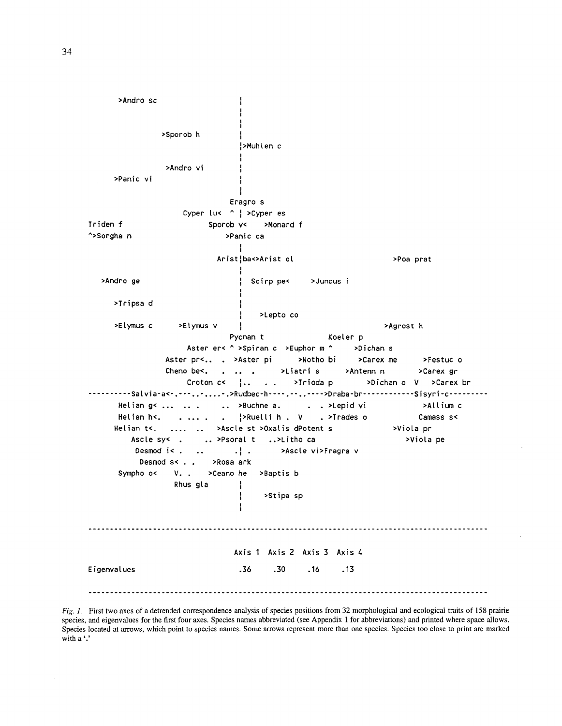>Andro sc ł >Sporob h ÷ >Muhlen c >Andro vi >Panic vi Eragro s Cyper luk ^ | > Cyper es Triden f Sporob v< >Monard f ^>Sorghan >Panic ca Arist¦ba<>Arist ol >Poa prat >Andro ge Scirp pe< >Juncus i >Tripsa d >Lepto co >Elymus c >Elymus v >Agrost h Pycnan t Koeler p Aster er< ^ >Spiran c >Euphor m ^ >Dichan s Aster pr<.. . >Aster pi >Notho bi >Carex me >Festuc o Cheno be<.  $\lambda$ Liatri s >Antenn n >Carex gr  $\mathbf{r}$  and  $\mathbf{r}$  $\overline{a}$ Croton c<  $\left\{ \ldots \right\}$ >Trioda p >Dichan o V >Carex br  $\sim 100$ ----------Salvia-a<-.---........>Rudbec-h----......-->Draba-br-----------Sisyri-c---------Helian g< ... .. .  $\ldots$  >Buchne a. . . >Lepid vi >Allium c . >Trades o Helian h<.  $\frac{1}{2}$ PRuelli h. V Camass s<  $\cdots$  $\ddot{\phantom{a}}$ Helian t<. >Ascle st >Oxalis dPotent s >Viola pr .. >Psoral t >Viola pe Ascle sy< . ..>Litho ca Desmod i< .  $\cdot$  : >Ascle vi>Fragra v  $\ddot{\phantom{a}}$ Desmod s< . . >Rosa ark Sympho o<  $V -$ >Ceano he >Baptis b Rhus gla >Stipa sp Axis 1 Axis 2 Axis 3 Axis 4 Eigenvalues  $.36$  $.30$  $.16$  $.13$ 

Fig. 1. First two axes of a detrended correspondence analysis of species positions from 32 morphological and ecological traits of 158 prairie species, and eigenvalues for the first four axes. Species names abbreviated (see Appendix 1 for abbreviations) and printed where space allows. Species located at arrows, which point to species names. Some arrows represent more than one species. Species too close to print are marked with a '.'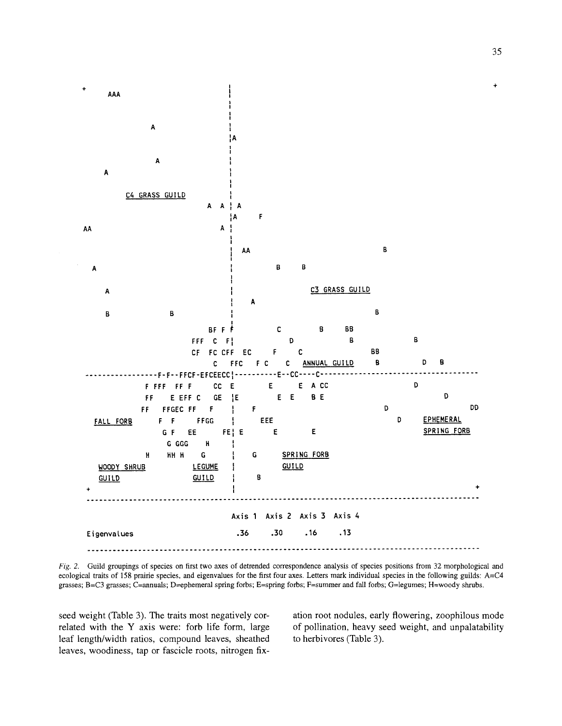

**Fig. 2. Guild groupings of species on first two axes of detrended correspondence analysis of species positions from 32 morphological and ecological traits of 158 prairie species, and eigenvalues for the first four axes. Letters mark individual species in the following guilds: A=C4 grasses; B=C3 grasses; C=annuals; D=ephemeral spring forbs; E=spring forbs; F=summer and fall forbs; G=legumes; H=woody shrubs.** 

seed weight (Table 3). The traits most negatively cor**related with the Y axis were: forb life form, large leaf length/width ratios, compound leaves, sheathed leaves, woodiness, tap or fascicle roots, nitrogen fix**  **ation root nodules, early flowering, zoophilous mode of pollination, heavy seed weight, and unpalatability to herbivores (Table 3).**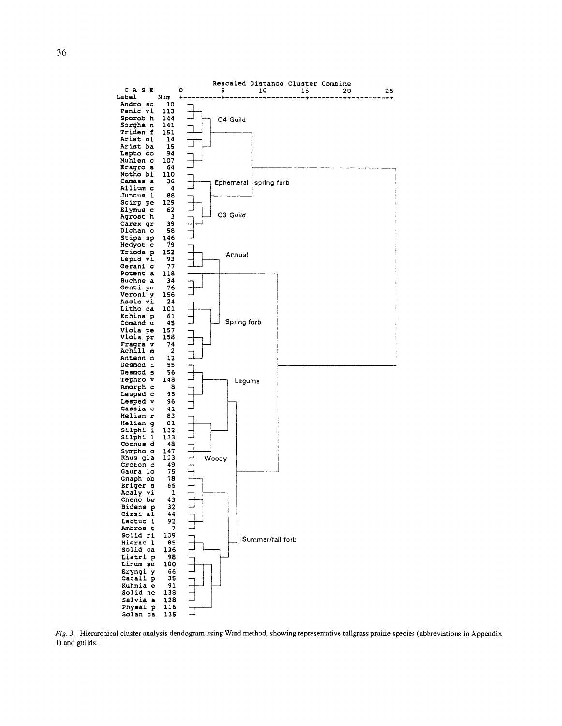

Fig. 3. Hierarchical cluster analysis dendogram using Ward method, showing representative tallgrass prairie species (abbreviations in Appendix 1) and guilds.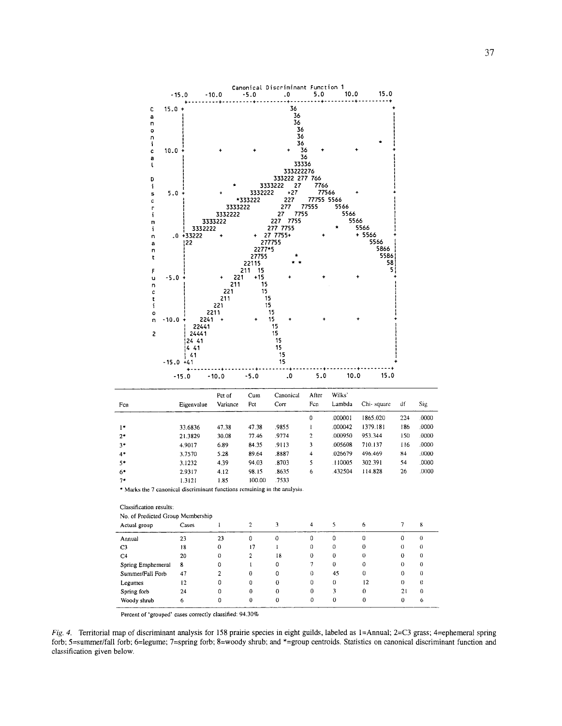

| Legumes<br>Spring forb<br>Woody shrub<br>6 |    |   |   |    |   |    |          |          |          |
|--------------------------------------------|----|---|---|----|---|----|----------|----------|----------|
|                                            |    |   | 0 | 0  | 0 | 0  | 0        |          | 6        |
|                                            | 24 |   | 0 | 0  | 0 |    | 0        | 21       | $\Omega$ |
|                                            | 12 | 0 | 0 | 0  | 0 | 0  | 12       |          | 0        |
| Summer/Fall Forb                           | 47 |   | 0 |    | 0 | 45 | 0        |          | $\Omega$ |
| Spring Emphemeral<br>8                     |    | 0 |   |    |   | 0  | o        |          | $\theta$ |
| C <sub>4</sub>                             | 20 | 0 |   | 18 | 0 | 0  | $\theta$ | 0        | $\theta$ |
| C <sub>3</sub>                             | 18 | 0 |   |    | 0 | 0  | 0        | $\theta$ | $\theta$ |

Percent of 'grouped' cases correctly classified: 94.30%

 $1*$ 

Fig. 4. Territorial map of discriminant analysis for 158 prairie species in eight guilds, labeled as 1=Annual; 2=C3 grass; 4=ephemeral spring forb; 5=summer/fall forb; 6=legume; 7=spring forb; 8=woody shrub; and \*=group centroids. Statistics on canonical discriminant function and classification given below.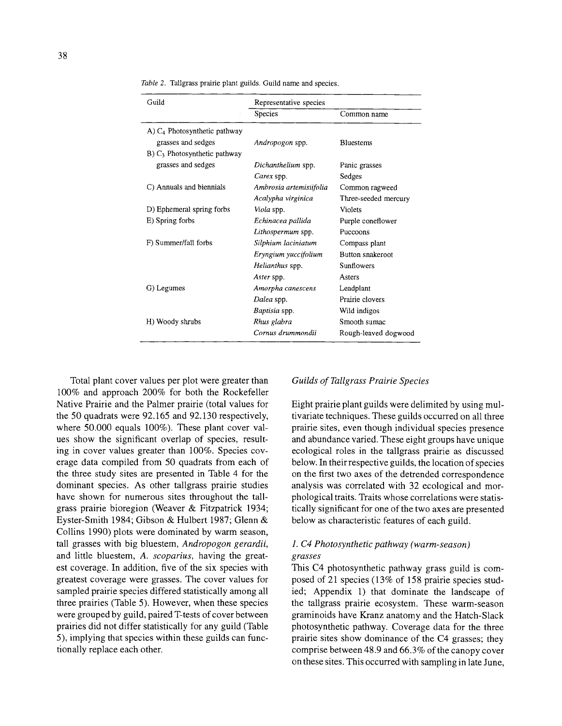| Guild                                      | Representative species  |                      |  |  |  |  |
|--------------------------------------------|-------------------------|----------------------|--|--|--|--|
|                                            | Species                 | Common name          |  |  |  |  |
| A) $C_4$ Photosynthetic pathway            |                         |                      |  |  |  |  |
| grasses and sedges                         | Andropogon spp.         | <b>Bluestems</b>     |  |  |  |  |
| $B)$ C <sub>3</sub> Photosynthetic pathway |                         |                      |  |  |  |  |
| grasses and sedges                         | Dichanthelium spp.      | Panic grasses        |  |  |  |  |
|                                            | Carex spp.              | Sedges               |  |  |  |  |
| C) Annuals and biennials                   | Ambrosia artemisiifolia | Common ragweed       |  |  |  |  |
|                                            | Acalypha virginica      | Three-seeded mercury |  |  |  |  |
| D) Ephemeral spring forbs                  | Viola spp.              | Violets              |  |  |  |  |
| E) Spring forbs                            | Echinacea pallida       | Purple coneflower    |  |  |  |  |
|                                            | Lithospermum spp.       | Puccoons             |  |  |  |  |
| F) Summer/fall forbs                       | Silphium laciniatum     | Compass plant        |  |  |  |  |
|                                            | Eryngium yuccifolium    | Button snakeroot     |  |  |  |  |
|                                            | Helianthus spp.         | Sunflowers           |  |  |  |  |
|                                            | Aster spp.              | Asters               |  |  |  |  |
| G) Legumes                                 | Amorpha canescens       | Leadplant            |  |  |  |  |
|                                            | Dalea spp.              | Prairie clovers      |  |  |  |  |
|                                            | Baptisia spp.           | Wild indigos         |  |  |  |  |
| H) Woody shrubs                            | Rhus glabra             | Smooth sumac         |  |  |  |  |
|                                            | Cornus drummondii       | Rough-leaved dogwood |  |  |  |  |

**Table 2. Tallgrass prairie plant guilds. Guild name and species.** 

**Total plant cover values per plot were greater than 100% and approach 200% for both the Rockefeller Native Prairie and the Palmer prairie (total values for the 50 quadrats were 92.165 and 92.130 respectively,**  where 50.000 equals 100%). These plant cover values show the significant overlap of species, resulting in cover values greater than 100%. Species cov**erage data compiled from 50 quadrats from each of the three study sites are presented in Table 4 for the dominant species. As other tallgrass prairie studies**  have shown for numerous sites throughout the tall**grass prairie bioregion (Weaver & Fitzpatrick 1934; Eyster-Smith 1984; Gibson & Hulbert 1987; Glenn & Collins 1990) plots were dominated by warm season, tall grasses with big bluestem, Andropogon gerardii,**  and little bluestem, A. scoparius, having the great**est coverage. In addition, five of the six species with greatest coverage were grasses. The cover values for sampled prairie species differed statistically among all three prairies (Table 5). However, when these species were grouped by guild, paired T-tests of cover between prairies did not differ statistically for any guild (Table 5), implying that species within these guilds can func tionally replace each other.** 

# **Guilds of Tallgrass Prairie Species**

**Eight prairie plant guilds were delimited by using mul**  tivariate techniques. These guilds occurred on all three **prairie sites, even though individual species presence and abundance varied. These eight groups have unique ecological roles in the tallgrass prairie as discussed below. In their respective guilds, the location of species on the first two axes of the detrended correspondence**  analysis was correlated with 32 ecological and mor**phological traits. Traits whose correlations were statis tically significant for one of the two axes are presented below as characteristic features of each guild.** 

# **1. C4 Photosynthetic pathway (warm-season)**

**grasses This C4 photosynthetic pathway grass guild is com posed of 21 species (13% of 158 prairie species stud ied; Appendix 1) that dominate the landscape of the tallgrass prairie ecosystem. These warm-season graminoids have Kranz anatomy and the Hatch-Slack photosynthetic pathway. Coverage data for the three prairie sites show dominance of the C4 grasses; they comprise between 48.9 and 66.3% of the canopy cover on these sites. This occurred with sampling in late June,**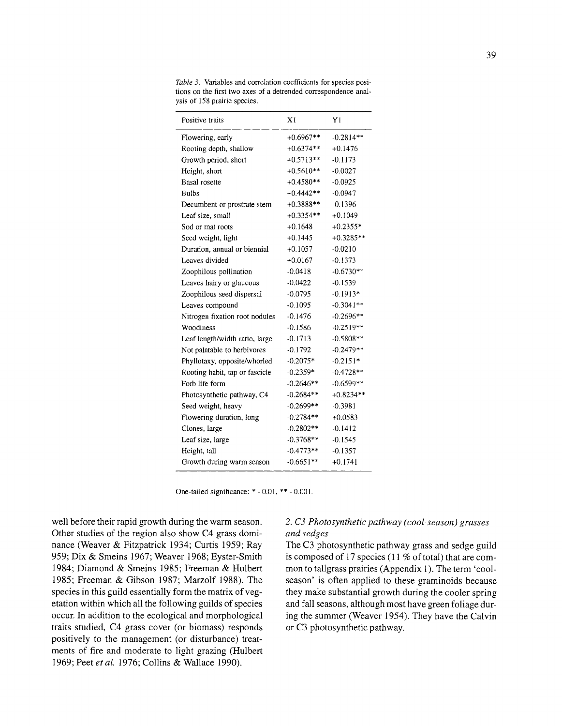| Positive traits                | X1          | Y1          |
|--------------------------------|-------------|-------------|
| Flowering, early               | $+0.6967**$ | $-0.2814**$ |
| Rooting depth, shallow         | $+0.6374**$ | $+0.1476$   |
| Growth period, short           | $+0.5713**$ | $-0.1173$   |
| Height, short                  | $+0.5610**$ | $-0.0027$   |
| <b>Basal</b> rosette           | $+0.4580**$ | $-0.0925$   |
| <b>Bulbs</b>                   | $+0.4442**$ | $-0.0947$   |
| Decumbent or prostrate stem    | $+0.3888**$ | $-0.1396$   |
| Leaf size, small               | $+0.3354**$ | $+0.1049$   |
| Sod or mat roots               | $+0.1648$   | $+0.2355*$  |
| Seed weight, light             | $+0.1445$   | $+0.3285**$ |
| Duration, annual or biennial   | $+0.1057$   | $-0.0210$   |
| Leaves divided                 | $+0.0167$   | $-0.1373$   |
| Zoophilous pollination         | $-0.0418$   | $-0.6730**$ |
| Leaves hairy or glaucous       | $-0.0422$   | $-0.1539$   |
| Zoophilous seed dispersal      | $-0.0795$   | $-0.1913*$  |
| Leaves compound                | $-0.1095$   | $-0.3041**$ |
| Nitrogen fixation root nodules | $-0.1476$   | $-0.2696**$ |
| Woodiness                      | $-0.1586$   | $-0.2519**$ |
| Leaf length/width ratio, large | $-0.1713$   | $-0.5808**$ |
| Not palatable to herbivores    | $-0.1792$   | $-0.2479**$ |
| Phyllotaxy, opposite/whorled   | $-0.2075*$  | $-0.2151*$  |
| Rooting habit, tap or fascicle | $-0.2359*$  | $-0.4728**$ |
| Forb life form                 | $-0.2646**$ | $-0.6599**$ |
| Photosynthetic pathway, C4     | $-0.2684**$ | $+0.8234**$ |
| Seed weight, heavy             | $-0.2699**$ | $-0.3981$   |
| Flowering duration, long       | $-0.2784**$ | $+0.0583$   |
| Clones, large                  | $-0.2802**$ | $-0.1412$   |
| Leaf size, large               | $-0.3768**$ | $-0.1545$   |
| Height, tall                   | $-0.4773**$ | $-0.1357$   |
| Growth during warm season      | $-0.6651**$ | $+0.1741$   |

Table 3. Variables and correlation coefficients for species posi**tions on the first two axes of a detrended correspondence anal ysis of 158 prairie species.** 

**One-tailed significance: \*-0.01,\*\*-0.001.** 

**well before their rapid growth during the warm season. Other studies of the region also show C4 grass domi nance (Weaver & Fitzpatrick 1934; Curtis 1959; Ray 959; Dix & Smeins 1967; Weaver 1968; Eyster-Smith 1984; Diamond & Smeins 1985; Freeman & Hulbert 1985; Freeman & Gibson 1987; Marzolf 1988). The species in this guild essentially form the matrix of veg etation within which all the following guilds of species occur. In addition to the ecological and morphological traits studied, C4 grass cover (or biomass) responds positively to the management (or disturbance) treat ments of fire and moderate to light grazing (Hulbert 1969; Peet et al 1976; Collins & Wallace 1990).** 

# **2. C3 Photosynthetic pathway (cool-season) grasses and sedges**

**The C3 photosynthetic pathway grass and sedge guild is composed of 17 species (11 % of total) that are com mon to tallgrass prairies (Appendix 1). The term 'cool season' is often applied to these graminoids because they make substantial growth during the cooler spring and fall seasons, although most have green foliage dur ing the summer (Weaver 1954). They have the Calvin or C3 photosynthetic pathway.**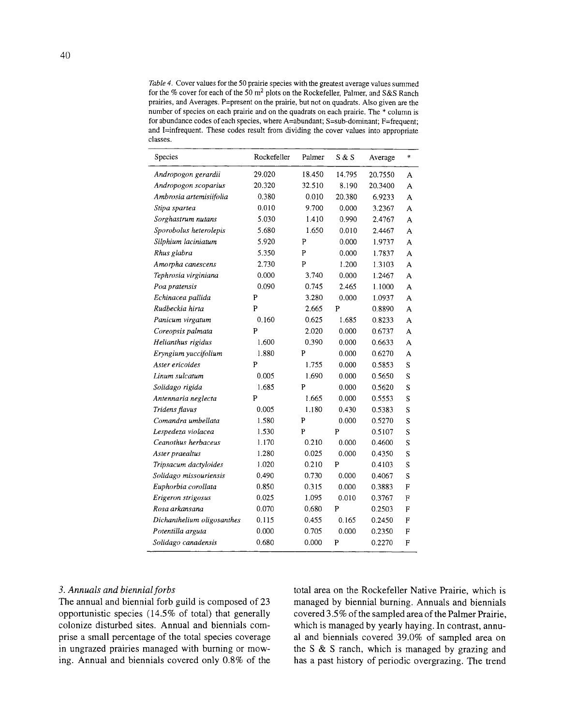**Table 4. Cover values for the 50 prairie species with the greatest average values summed for the % cover for each of the 50 m2 plots on the Rockefeller, Palmer, and S&S Ranch prairies, and Averages. P=present on the prairie, but not on quadrats. Also given are the number of species on each prairie and on the quadrats on each prairie. The \* column is for abundance codes of each species, where A=abundant; S=sub-dominant; F=frequent;**  and I=infrequent. These codes result from dividing the cover values into appropriate **classes.** 

| Species                    | Rockefeller | Palmer | S & S  | Average | *              |
|----------------------------|-------------|--------|--------|---------|----------------|
| Andropogon gerardii        | 29.020      | 18.450 | 14.795 | 20.7550 | A              |
| Andropogon scoparius       | 20.320      | 32.510 | 8.190  | 20.3400 | A              |
| Ambrosia artemisiifolia    | 0.380       | 0.010  | 20.380 | 6.9233  | А              |
| Stipa spartea              | 0.010       | 9.700  | 0.000  | 3.2367  | А              |
| Sorghastrum nutans         | 5.030       | 1.410  | 0.990  | 2.4767  | A              |
| Sporobolus heterolepis     | 5.680       | 1.650  | 0.010  | 2.4467  | A              |
| Silphium laciniatum        | 5.920       | P      | 0.000  | 1.9737  | A              |
| Rhus glabra                | 5.350       | P      | 0.000  | 1.7837  | A              |
| Amorpha canescens          | 2.730       | P      | 1.200  | 1.3103  | A              |
| Tephrosia virginiana       | 0.000       | 3,740  | 0.000  | 1.2467  | A              |
| Poa pratensis              | 0.090       | 0.745  | 2.465  | 1.1000  | А              |
| Echinacea pallida          | P           | 3.280  | 0.000  | 1.0937  | А              |
| Rudbeckia hirta            | P           | 2.665  | P      | 0.8890  | A              |
| Panicum virgatum           | 0.160       | 0.625  | 1.685  | 0.8233  | Α              |
| Coreopsis palmata          | P           | 2.020  | 0.000  | 0.6737  | А              |
| Helianthus rigidus         | 1.600       | 0.390  | 0.000  | 0.6633  | А              |
| Eryngium yuccifolium       | 1.880       | P      | 0.000  | 0.6270  | А              |
| Aster ericoides            | P           | 1.755  | 0.000  | 0.5853  | S              |
| Linum sulcatum             | 0.005       | 1.690  | 0.000  | 0.5650  | S              |
| Solidago rigida            | 1.685       | P      | 0.000  | 0.5620  | S              |
| Antennaria neglecta        | P           | 1.665  | 0.000  | 0.5553  | S              |
| Tridens flavus             | 0.005       | 1.180  | 0.430  | 0.5383  | S              |
| Comandra umbellata         | 1.580       | P      | 0.000  | 0.5270  | S              |
| Lespedeza violacea         | 1.530       | P      | P      | 0.5107  | S              |
| Ceanothus herbaceus        | 1.170       | 0.210  | 0.000  | 0.4600  | S              |
| Aster praealtus            | 1.280       | 0.025  | 0.000  | 0.4350  | S              |
| Tripsacum dactyloides      | 1.020       | 0.210  | P      | 0.4103  | S              |
| Solidago missouriensis     | 0.490       | 0.730  | 0.000  | 0.4067  | S              |
| Euphorbia corollata        | 0.850       | 0.315  | 0.000  | 0.3883  | F              |
| Erigeron strigosus         | 0.025       | 1.095  | 0.010  | 0.3767  | F              |
| Rosa arkansana             | 0.070       | 0.680  | P      | 0.2503  | F              |
| Dichanthelium oligosanthes | 0.115       | 0.455  | 0.165  | 0.2450  | F              |
| Potentilla arguta          | 0.000       | 0.705  | 0.000  | 0.2350  | F              |
| Solidago canadensis        | 0.680       | 0.000  | P      | 0.2270  | $\overline{F}$ |

#### **3. Annuals and biennial forbs**

**The annual and biennial forb guild is composed of 23 opportunistic species (14.5% of total) that generally colonize disturbed sites. Annual and biennials com prise a small percentage of the total species coverage**  in ungrazed prairies managed with burning or mow**ing. Annual and biennials covered only 0.8% of the**  **total area on the Rockefeller Native Prairie, which is managed by biennial burning. Annuals and biennials covered 3.5% of the sampled area of the Palmer Prairie, which is managed by yearly haying. In contrast, annu al and biennials covered 39.0% of sampled area on the S & S ranch, which is managed by grazing and has a past history of periodic overgrazing. The trend**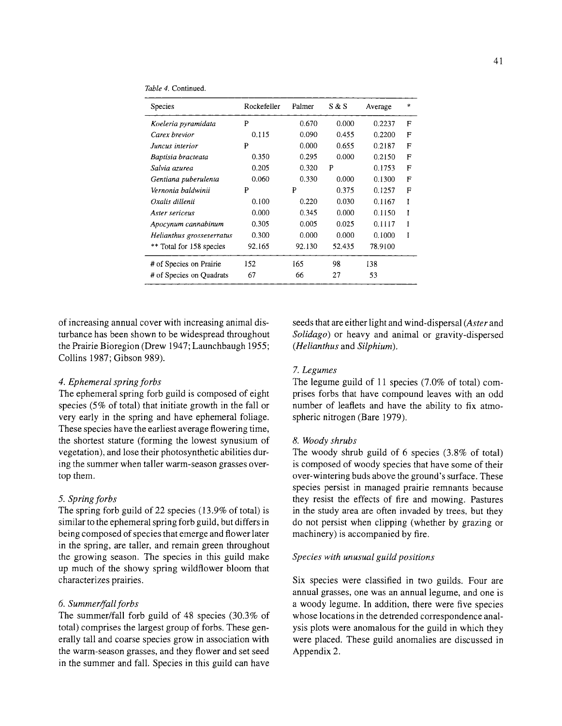| Species                   | Rockefeller | Palmer | S & S  | Average | ж           |
|---------------------------|-------------|--------|--------|---------|-------------|
| Koeleria pyramidata       | P           | 0.670  | 0.000  | 0.2237  | F           |
| Carex brevior             | 0.115       | 0.090  | 0.455  | 0.2200  | F           |
| Juncus interior           | P           | 0.000  | 0.655  | 0.2187  | F           |
| Baptisia bracteata        | 0.350       | 0.295  | 0.000  | 0.2150  | F           |
| Salvia azurea             | 0.205       | 0.320  | P      | 0.1753  | F           |
| Gentiana puberulenta      | 0.060       | 0.330  | 0.000  | 0.1300  | $\mathbf F$ |
| Vernonia baldwinii        | P           | P      | 0.375  | 0.1257  | F           |
| Oxalis dillenii           | 0.100       | 0.220  | 0.030  | 0.1167  | I           |
| Aster sericeus            | 0.000       | 0.345  | 0.000  | 0.1150  | I           |
| Apocynum cannabinum       | 0.305       | 0.005  | 0.025  | 0.1117  |             |
| Helianthus grosseserratus | 0.300       | 0.000  | 0.000  | 0.1000  | Ī           |
| ** Total for 158 species  | 92.165      | 92.130 | 52.435 | 78.9100 |             |
| # of Species on Prairie   | 152         | 165    | 98     | 138     |             |
| # of Species on Quadrats  | 67          | 66     | 27     | 53      |             |

**of increasing annual cover with increasing animal dis turbance has been shown to be widespread throughout the Prairie Bioregion (Drew 1947; Launchbaugh 1955; Collins 1987; Gibson 989).** 

## **4. Ephemeral spring forbs**

**The ephemeral spring forb guild is composed of eight species (5% of total) that initiate growth in the fall or very early in the spring and have ephemeral foliage. These species have the earliest average flowering time, the shortest stature (forming the lowest synusium of vegetation), and lose their photosynthetic abilities dur ing the summer when taller warm-season grasses over top them.** 

# **5. Spring forbs**

**The spring forb guild of 22 species (13.9% of total) is similar to the ephemeral spring forb guild, but differs in being composed of species that emerge and flower later in the spring, are taller, and remain green throughout the growing season. The species in this guild make up much of the showy spring wildflower bloom that characterizes prairies.** 

# **6. Summer/fall forb s**

**The summer/fall forb guild of 48 species (30.3% of total) comprises the largest group of forbs. These gen erally tall and coarse species grow in association with the warm-season grasses, and they flower and set seed in the summer and fall. Species in this guild can have** 

**seeds that are either light and wind-dispersal (Aster and Solidago) or heavy and animal or gravity-dispersed (Helianthus and Silphium).** 

# **7. Legumes**

**The legume guild of 11 species (7.0% of total) com prises forbs that have compound leaves with an odd number of leaflets and have the ability to fix atmo spheric nitrogen (Bare 1979).** 

#### **8. Woody shrubs**

**The woody shrub guild of 6 species (3.8% of total) is composed of woody species that have some of their b** over-wintering buds above the ground's surface. The **species persist in managed prairie remnants because they resist the effects of fire and mowing. Pastures in the study area are often invaded by trees, but they do not persist when clipping (whether by grazing or machinery) is accompanied by fire.** 

# **Species with unusual guild positions**

**Six species were classified in two guilds. Four are annual grasses, one was an annual legume, and one is a woody legume. In addition, there were five species whose locations in the detrended correspondence anal ysis plots were anomalous for the guild in which they were placed. These guild anomalies are discussed in Appendix 2.**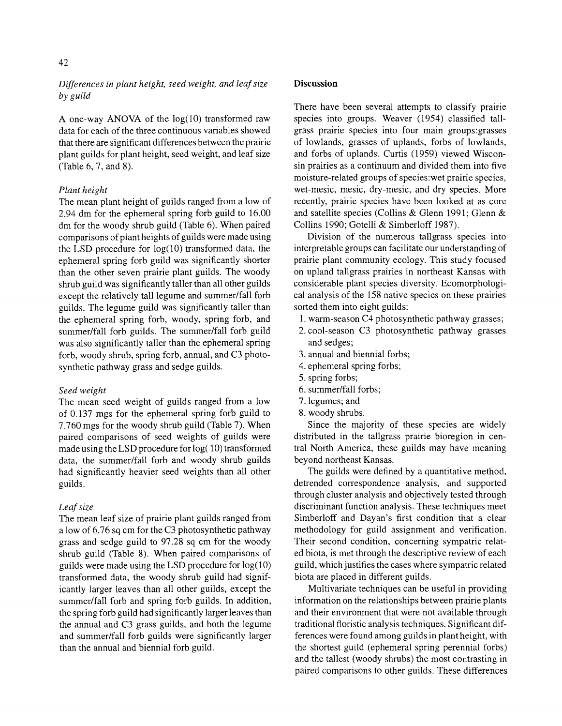# **Differences in plant height, seed weight, and leaf size by guild**

A one-way ANOVA of the  $log(10)$  transformed raw **data for each of the three continuous variables showed that there are significant differences between the prairie plant guilds for plant height, seed weight, and leaf size (Table 6, 7, and 8).** 

# **Plant height**

**The mean plant height of guilds ranged from a low of 2.94 dm for the ephemeral spring forb guild to 16.00 dm for the woody shrub guild (Table 6). When paired comparisons of plant heights of guilds were made using the LSD procedure for log(10) transformed data, the ephemeral spring forb guild was significantly shorter than the other seven prairie plant guilds. The woody shrub guild was significantly taller than all other guilds except the relatively tall legume and summer/fall forb guilds. The legume guild was significantly taller than the ephemeral spring forb, woody, spring forb, and summer/fall forb guilds. The summer/fall forb guild was also significantly taller than the ephemeral spring forb, woody shrub, spring forb, annual, and C3 photo synthetic pathway grass and sedge guilds.** 

# **Seed weight**

**The mean seed weight of guilds ranged from a low of 0.137 mgs for the ephemeral spring forb guild to 7.760 mgs for the woody shrub guild (Table 7). When paired comparisons of seed weights of guilds were made using the LSD procedure for log( 10) transformed data, the summer/fall forb and woody shrub guilds had significantly heavier seed weights than all other guilds.** 

# **Leaf size**

**The mean leaf size of prairie plant guilds ranged from a low of 6.76 sq cm for the C3 photosynthetic pathway grass and sedge guild to 97.28 sq cm for the woody shrub guild (Table 8). When paired comparisons of guilds were made using the LSD procedure for log(10) transformed data, the woody shrub guild had signif icantly larger leaves than all other guilds, except the summer/fall forb and spring forb guilds. In addition, the spring forb guild had significantly larger leaves than the annual and C3 grass guilds, and both the legume and summer/fall forb guilds were significantly larger than the annual and biennial forb guild.** 

# **Discussion**

**There have been several attempts to classify prairie**  species into groups. Weaver (1954) classified tall**grass prairie species into four main groups:grasses of lowlands, grasses of uplands, forbs of lowlands,**  and forbs of uplands. Curtis (1959) viewed Wiscon**sin prairies as a continuum and divided them into five moisture-related groups of species: wet prairie species, wet-mesic, mesic, dry-mesic, and dry species. More recently, prairie species have been looked at as core and satellite species (Collins & Glenn 1991; Glenn & Collins 1990; Gotelli & Simberloff 1987).** 

**Division of the numerous tallgrass species into interpretable groups can facilitate our understanding of prairie plant community ecology. This study focused on upland tallgrass prairies in northeast Kansas with**  considerable plant species diversity. Ecomorphologi**cal analysis of the 158 native species on these prairies sorted them into eight guilds:** 

- **1. warm-season C4 photosynthetic pathway grasses;**
- **2. cool-season C3 photosynthetic pathway grasses and sedges;**
- **3. annual and biennial forbs;**
- **4. ephemeral spring forbs;**
- **5. spring forbs;**
- **6. summer/fall forbs;**
- **7. legumes; and**
- **8. woody shrubs.**

**Since the majority of these species are widely**  distributed in the tallgrass prairie bioregion in cen**tral North America, these guilds may have meaning beyond northeast Kansas.** 

**The guilds were defined by a quantitative method, detrended correspondence analysis, and supported through cluster analysis and objectively tested through discriminant function analysis. These techniques meet**  Simberloff and Dayan's first condition that a clear **methodology for guild assignment and verification. Their second condition, concerning sympatric relat ed biota, is met through the descriptive review of each guild, which justifies the cases where sympatric related biota are placed in different guilds.** 

**Multivariate techniques can be useful in providing information on the relationships between prairie plants and their environment that were not available through traditional floristic analysis techniques. Significant dif ferences were found among guilds in plant height, with the shortest guild (ephemeral spring perennial forbs) and the tallest (woody shrubs) the most contrasting in paired comparisons to other guilds. These differences**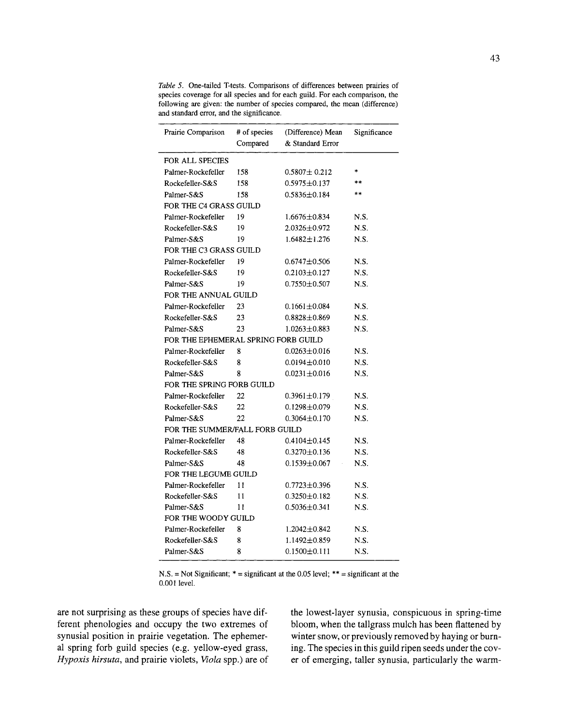| Prairie Comparison                  | # of species<br>Compared | (Difference) Mean<br>& Standard Error | Significance |
|-------------------------------------|--------------------------|---------------------------------------|--------------|
| FOR ALL SPECIES                     |                          |                                       |              |
| Palmer-Rockefeller                  | 158                      | $0.5807 \pm 0.212$                    | *            |
| Rockefeller-S&S                     | 158                      | $0.5975 \pm 0.137$                    | $* *$        |
| Palmer-S&S                          | 158                      | $0.5836 \pm 0.184$                    | $**$         |
| FOR THE C4 GRASS GUILD              |                          |                                       |              |
| Palmer-Rockefeller                  | 19                       | $1.6676 \pm 0.834$                    | N.S.         |
| Rockefeller-S&S                     | 19                       | $2.0326 \pm 0.972$                    | N.S.         |
| Palmer-S&S                          | 19                       | $1.6482 \pm 1.276$                    | N.S.         |
| FOR THE C3 GRASS GUILD              |                          |                                       |              |
| Palmer-Rockefeller                  | 19                       | $0.6747 \pm 0.506$                    | N.S.         |
| Rockefeller-S&S                     | 19                       | $0.2103 + 0.127$                      | N.S.         |
| Palmer-S&S                          | 19                       | $0.7550 \pm 0.507$                    | N.S.         |
| FOR THE ANNUAL GUILD                |                          |                                       |              |
| Palmer-Rockefeller                  | 23                       | $0.1661 \pm 0.084$                    | N.S.         |
| Rockefeller-S&S                     | 23                       | $0.8828 \pm 0.869$                    | N.S.         |
| Palmer-S&S                          | 23                       | $1.0263 \pm 0.883$                    | N.S.         |
| FOR THE EPHEMERAL SPRING FORB GUILD |                          |                                       |              |
| Palmer-Rockefeller                  | 8                        | $0.0263 \pm 0.016$                    | N.S.         |
| Rockefeller-S&S                     | 8                        | $0.0194 \pm 0.010$                    | N.S.         |
| Palmer-S&S                          | 8                        | $0.0231 \pm 0.016$                    | N.S.         |
| FOR THE SPRING FORB GUILD           |                          |                                       |              |
| Palmer-Rockefeller                  | 22                       | $0.3961 \pm 0.179$                    | N.S.         |
| Rockefeller-S&S                     | 22                       | $0.1298 \pm 0.079$                    | N.S.         |
| Palmer-S&S                          | 22                       | $0.3064 \pm 0.170$                    | N.S.         |
| FOR THE SUMMER/FALL FORB GUILD      |                          |                                       |              |
| Palmer-Rockefeller                  | 48                       | $0.4104 \pm 0.145$                    | N.S.         |
| Rockefeller-S&S                     | 48                       | $0.3270 \pm 0.136$                    | N.S.         |
| Palmer-S&S                          | 48                       | $0.1539 + 0.067$                      | N.S.         |
| FOR THE LEGUME GUILD                |                          |                                       |              |
| Palmer-Rockefeller                  | 11                       | $0.7723 \pm 0.396$                    | N.S.         |
| Rockefeller-S&S                     | 11                       | $0.3250 \pm 0.182$                    | N.S.         |
| Palmer-S&S                          | 11                       | $0.5036 \pm 0.341$                    | N.S.         |
| FOR THE WOODY GUILD                 |                          |                                       |              |
| Palmer-Rockefeller                  | 8                        | 1.2042±0.842                          | N.S.         |
| Rockefeller-S&S                     | 8                        | $1.1492 \pm 0.859$                    | N.S.         |
| Palmer-S&S                          | 8                        | $0.1500 \pm 0.111$                    | N.S.         |

**Table 5. One-tailed T-tests. Comparisons of differences between prairies of species coverage for all species and for each guild. For each comparison, the following are given: the number of species compared, the mean (difference) and standard error, and the significance.** 

**N.S. = Not Significant; \* = significant at the 0.05 level; \*\* = significant at the 0.001 level.** 

**are not surprising as these groups of species have dif ferent phenologies and occupy the two extremes of synusial position in prairie vegetation. The ephemer al spring forb guild species (e.g. yellow-eyed grass, Hypoxis hirsuta, and prairie violets, Viola spp.) are of**  **the lowest-layer synusia, conspicuous in spring-time bloom, when the tallgrass mulch has been flattened by winter snow, or previously removed by haying or burn ing. The species in this guild ripen seeds under the cov er of emerging, taller synusia, particularly the warm**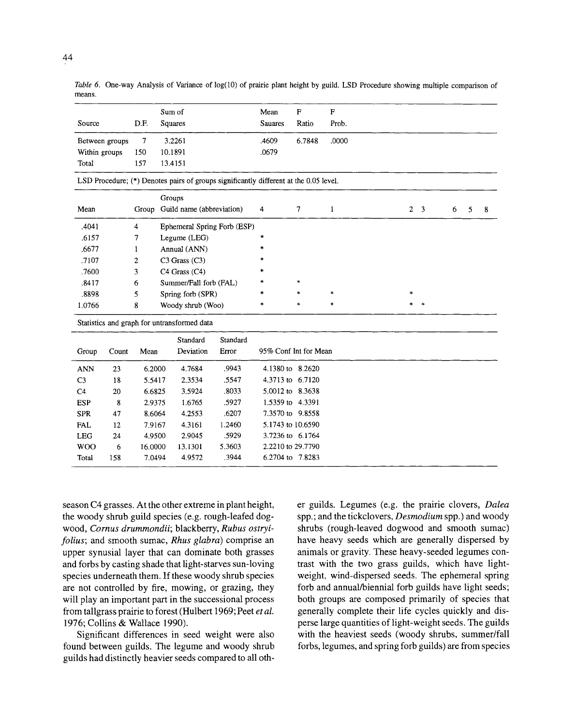|                |       |         | Sum of                                      |                                                                                       | Mean                  | $\mathbf{F}$ | $\mathbf{F}$ |                |                         |   |   |   |
|----------------|-------|---------|---------------------------------------------|---------------------------------------------------------------------------------------|-----------------------|--------------|--------------|----------------|-------------------------|---|---|---|
| Source         |       | D.F.    | Squares                                     |                                                                                       | <b>Sauares</b>        | Ratio        | Prob.        |                |                         |   |   |   |
| Between groups |       | $\tau$  | 3.2261                                      |                                                                                       |                       | 6.7848       | .0000        |                |                         |   |   |   |
| Within groups  |       | 150     | 10.1891                                     |                                                                                       | .0679                 |              |              |                |                         |   |   |   |
| Total          |       | 157     | 13.4151                                     |                                                                                       |                       |              |              |                |                         |   |   |   |
|                |       |         |                                             | LSD Procedure; (*) Denotes pairs of groups significantly different at the 0.05 level. |                       |              |              |                |                         |   |   |   |
|                |       |         | Groups                                      |                                                                                       |                       |              |              |                |                         |   |   |   |
| Mean           |       |         | Group Guild name (abbreviation)             |                                                                                       | 4                     | 7            | $\mathbf{1}$ | $\overline{2}$ | $\overline{\mathbf{3}}$ | 6 | 5 | 8 |
| .4041          |       | 4       |                                             | Ephemeral Spring Forb (ESP)                                                           |                       |              |              |                |                         |   |   |   |
| .6157          |       | 7       | Legume (LEG)                                |                                                                                       | $\ast$                |              |              |                |                         |   |   |   |
| .6677          |       | 1       | Annual (ANN)                                |                                                                                       | *                     |              |              |                |                         |   |   |   |
| .7107          |       | 2       | C3 Grass (C3)                               |                                                                                       |                       |              |              |                |                         |   |   |   |
| .7600          |       | 3       | C4 Grass (C4)                               |                                                                                       |                       |              |              |                |                         |   |   |   |
| .8417          |       | 6       | Summer/Fall forb (FAL)                      |                                                                                       |                       | $\ast$       |              |                |                         |   |   |   |
| .8898          |       | 5       | Spring forb (SPR)                           |                                                                                       | *                     | $\ast$       | $\ast$       | $\ast$         |                         |   |   |   |
| 1.0766         |       | 8       | Woody shrub (Woo)                           |                                                                                       | $\ast$                | $\ast$       | $\ast$       |                |                         |   |   |   |
|                |       |         | Statistics and graph for untransformed data |                                                                                       |                       |              |              |                |                         |   |   |   |
|                |       |         | Standard                                    | Standard                                                                              |                       |              |              |                |                         |   |   |   |
| Group          | Count | Mean    | Deviation                                   | Error                                                                                 | 95% Conf Int for Mean |              |              |                |                         |   |   |   |
| <b>ANN</b>     | 23    | 6.2000  | 4.7684                                      | .9943                                                                                 | 4.1380 to 8.2620      |              |              |                |                         |   |   |   |
| C <sub>3</sub> | 18    | 5.5417  | 2.3534                                      | .5547                                                                                 | 4.3713 to 6.7120      |              |              |                |                         |   |   |   |
| C <sub>4</sub> | 20    | 6.6825  | 3.5924                                      | .8033                                                                                 | 5.0012 to 8.3638      |              |              |                |                         |   |   |   |
| <b>ESP</b>     | 8     | 2.9375  | 1.6765                                      | .5927                                                                                 | 1.5359 to 4.3391      |              |              |                |                         |   |   |   |
| <b>SPR</b>     | 47    | 8.6064  | 4.2553                                      | .6207                                                                                 | 7.3570 to 9.8558      |              |              |                |                         |   |   |   |
| <b>FAL</b>     | 12    | 7.9167  | 4.3161                                      | 1.2460                                                                                | 5.1743 to 10.6590     |              |              |                |                         |   |   |   |
| <b>LEG</b>     | 24    | 4.9500  | 2.9045                                      | .5929                                                                                 | 3.7236 to 6.1764      |              |              |                |                         |   |   |   |
| <b>WOO</b>     | 6     | 16.0000 | 13.1301                                     | 5.3603                                                                                | 2.2210 to 29.7790     |              |              |                |                         |   |   |   |
| Total          | 158   | 7.0494  | 4.9572                                      | .3944                                                                                 | 6.2704 to 7.8283      |              |              |                |                         |   |   |   |

Table 6. One-way Analysis of Variance of log(10) of prairie plant height by guild. LSD Procedure showing multiple comparison of **means.** 

**season C4 grasses. At the other extreme in plant height, the woody shrub guild species (e.g. rough-leafed dog**  wood, Cornus drummondii; blackberry, Rubus ostryi**folius; and smooth sumac, Rhus glabra) comprise an upper synusial layer that can dominate both grasses and forbs by casting shade that light-starves sun-loving species underneath them. If these woody shrub species are not controlled by fire, mowing, or grazing, they will play an important part in the successional process from tallgrass prairie to forest (Hulbert 1969; Peet et al 1976; Collins & Wallace 1990).** 

**Significant differences in seed weight were also found between guilds. The legume and woody shrub guilds had distinctly heavier seeds compared to all oth**  **er guilds. Legumes (e.g. the prairie clovers, Dalea spp.; and the tickclovers, Desmodium spp.) and woody shrubs (rough-leaved dogwood and smooth sumac) have heavy seeds which are generally dispersed by animals or gravity. These heavy-seeded legumes con**  trast with the two grass guilds, which have light**weight, wind-dispersed seeds. The ephemeral spring forb and annual/biennial forb guilds have light seeds; both groups are composed primarily of species that generally complete their life cycles quickly and dis perse large quantities of light-weight seeds. The guilds with the heaviest seeds (woody shrubs, summer/fall forbs, legumes, and spring forb guilds) are from species**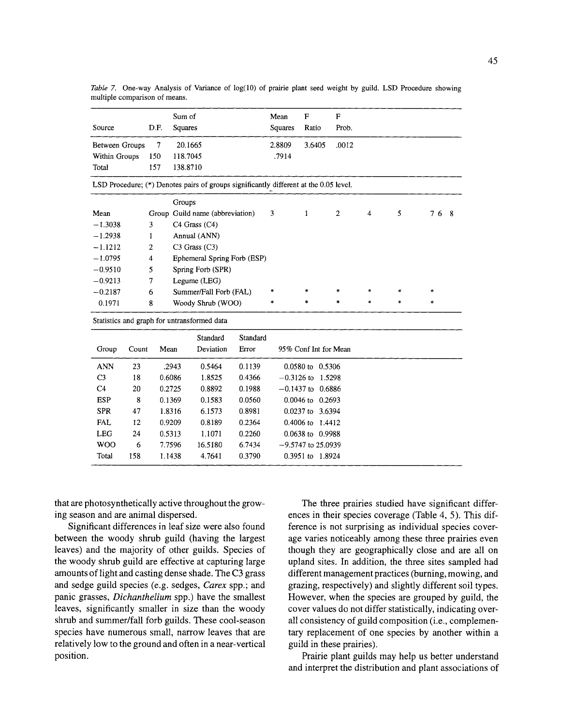|                |       |        | Sum of   |                                                                                       |          | Mean    | ${\bf F}$            | $\mathbf{F}$          |        |        |         |
|----------------|-------|--------|----------|---------------------------------------------------------------------------------------|----------|---------|----------------------|-----------------------|--------|--------|---------|
| Source         |       | D.F.   | Squares  |                                                                                       |          | Squares | Ratio                | Prob.                 |        |        |         |
| Between Groups |       | 7      | 20.1665  |                                                                                       |          | 2.8809  | 3.6405               | .0012                 |        |        |         |
| Within Groups  |       | 150    | 118.7045 |                                                                                       |          | .7914   |                      |                       |        |        |         |
| Total          |       | 157    | 138.8710 |                                                                                       |          |         |                      |                       |        |        |         |
|                |       |        |          | LSD Procedure; (*) Denotes pairs of groups significantly different at the 0.05 level. |          |         |                      |                       |        |        |         |
|                |       |        | Groups   |                                                                                       |          |         |                      |                       |        |        |         |
| Mean           |       |        |          | Group Guild name (abbreviation)                                                       |          | 3       | $\mathbf{1}$         | $\mathbf{2}$          | 4      | 5      | 76<br>8 |
| $-1.3038$      |       | 3      |          | $C4$ Grass $(C4)$                                                                     |          |         |                      |                       |        |        |         |
| $-1.2938$      |       | 1      |          | Annual (ANN)                                                                          |          |         |                      |                       |        |        |         |
| $-1.1212$      |       | 2      |          | $C3$ Grass $(C3)$                                                                     |          |         |                      |                       |        |        |         |
| $-1.0795$      |       | 4      |          | Ephemeral Spring Forb (ESP)                                                           |          |         |                      |                       |        |        |         |
| $-0.9510$      |       | 5      |          | Spring Forb (SPR)                                                                     |          |         |                      |                       |        |        |         |
| $-0.9213$      |       | $\tau$ |          | Legume (LEG)                                                                          |          |         |                      |                       |        |        |         |
| $-0.2187$      |       | 6      |          | Summer/Fall Forb (FAL)                                                                |          | *       | $\ast$               | $\ast$                | $\ast$ |        | $\ast$  |
| 0.1971         |       | 8      |          | Woody Shrub (WOO)                                                                     |          | $\ast$  | $\ast$               | $\ast$                | $\ast$ | $\ast$ | $\ast$  |
|                |       |        |          | Statistics and graph for untransformed data                                           |          |         |                      |                       |        |        |         |
|                |       |        |          | Standard                                                                              | Standard |         |                      |                       |        |        |         |
| Group          | Count | Mean   |          | Deviation                                                                             | Error    |         |                      | 95% Conf Int for Mean |        |        |         |
| <b>ANN</b>     | 23    |        | .2943    | 0.5464                                                                                | 0.1139   |         | 0.0580 to 0.5306     |                       |        |        |         |
| C <sub>3</sub> | 18    |        | 0.6086   | 1.8525                                                                                | 0.4366   |         | $-0.3126$ to 1.5298  |                       |        |        |         |
| C <sub>4</sub> | 20    |        | 0.2725   | 0.8892                                                                                | 0.1988   |         | $-0.1437$ to 0.6886  |                       |        |        |         |
| <b>ESP</b>     | 8     |        | 0.1369   | 0.1583                                                                                | 0.0560   |         | 0.0046 to 0.2693     |                       |        |        |         |
| <b>SPR</b>     | 47    |        | 1.8316   | 6.1573                                                                                | 0.8981   |         | 0.0237 to 3.6394     |                       |        |        |         |
| <b>FAL</b>     | 12    |        | 0.9209   | 0.8189                                                                                | 0.2364   |         | 0.4006 to 1.4412     |                       |        |        |         |
| <b>LEG</b>     | 24    |        | 0.5313   | 1.1071                                                                                | 0.2260   |         | 0.0638 to 0.9988     |                       |        |        |         |
| <b>WOO</b>     | 6     |        | 7.7596   | 16.5180                                                                               | 6.7434   |         | $-9.5747$ to 25.0939 |                       |        |        |         |
| Total          | 158   |        | 1.1438   | 4.7641                                                                                | 0.3790   |         | 0.3951 to 1.8924     |                       |        |        |         |

**Table 7. One-way Analysis of Variance of log(10) of prairie plant seed weight by guild. LSD Procedure showing multiple comparison of means.** 

**that are photosynthetically active throughout the grow ing season and are animal dispersed.** 

**Significant differences in leaf size were also found between the woody shrub guild (having the largest leaves) and the majority of other guilds. Species of the woody shrub guild are effective at capturing large amounts of light and casting dense shade. The C3 grass and sedge guild species (e.g. sedges, Carex spp.; and panic grasses, Dichanthelium spp.) have the smallest leaves, significantly smaller in size than the woody shrub and summer/fall forb guilds. These cool-season species have numerous small, narrow leaves that are relatively low to the ground and often in a near-vertical position.** 

**The three prairies studied have significant differ ences in their species coverage (Table 4, 5). This dif ference is not surprising as individual species cover age varies noticeably among these three prairies even though they are geographically close and are all on upland sites. In addition, the three sites sampled had different management practices (burning, mowing, and grazing, respectively) and slightly different soil types. However, when the species are grouped by guild, the cover values do not differ statistically, indicating over all consistency of guild composition (i.e., complemen tary replacement of one species by another within a guild in these prairies).** 

**Prairie plant guilds may help us better understand and interpret the distribution and plant associations of**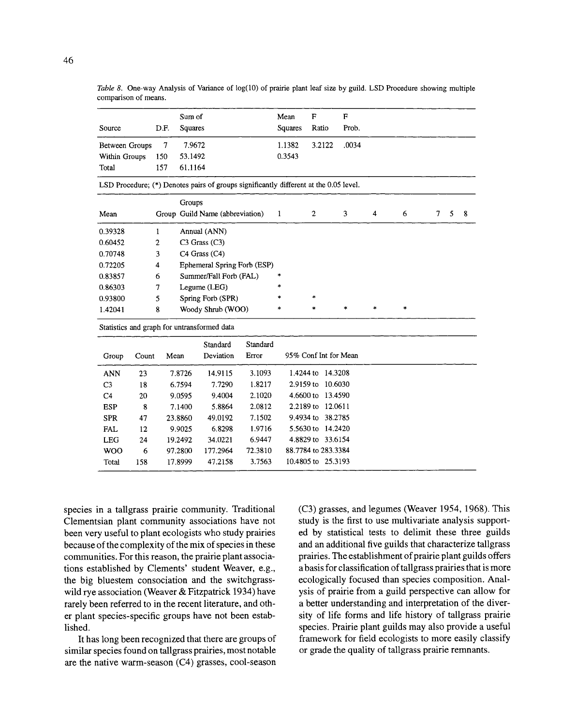|                       |       |        | Sum of  |                                                                                       |          | Mean         | F              |                       | F      |        |        |                |   |   |
|-----------------------|-------|--------|---------|---------------------------------------------------------------------------------------|----------|--------------|----------------|-----------------------|--------|--------|--------|----------------|---|---|
| Source                |       | D.F.   | Squares |                                                                                       |          | Squares      | Ratio          |                       | Prob.  |        |        |                |   |   |
| <b>Between Groups</b> |       | $\tau$ | 7.9672  |                                                                                       |          | 1.1382       |                | 3.2122                | .0034  |        |        |                |   |   |
| Within Groups         |       | 150    | 53.1492 |                                                                                       |          | 0.3543       |                |                       |        |        |        |                |   |   |
| Total                 |       | 157    | 61.1164 |                                                                                       |          |              |                |                       |        |        |        |                |   |   |
|                       |       |        |         | LSD Procedure; (*) Denotes pairs of groups significantly different at the 0.05 level. |          |              |                |                       |        |        |        |                |   |   |
|                       |       |        | Groups  |                                                                                       |          |              |                |                       |        |        |        |                |   |   |
| Mean                  |       |        |         | Group Guild Name (abbreviation)                                                       |          | $\mathbf{1}$ | $\overline{c}$ |                       | 3      | 4      | 6      | $\overline{7}$ | 5 | 8 |
| 0.39328               |       | 1      |         | Annual (ANN)                                                                          |          |              |                |                       |        |        |        |                |   |   |
| 0.60452               |       | 2      |         | $C3$ Grass $(C3)$                                                                     |          |              |                |                       |        |        |        |                |   |   |
| 0.70748               |       | 3      |         | C4 Grass (C4)                                                                         |          |              |                |                       |        |        |        |                |   |   |
| 0.72205               |       | 4      |         | Ephemeral Spring Forb (ESP)                                                           |          |              |                |                       |        |        |        |                |   |   |
| 0.83857               |       | 6      |         | Summer/Fall Forb (FAL)                                                                |          | *            |                |                       |        |        |        |                |   |   |
| 0.86303               |       | 7      |         | Legume (LEG)                                                                          |          | $\ast$       |                |                       |        |        |        |                |   |   |
| 0.93800               |       | 5      |         | Spring Forb (SPR)                                                                     |          |              | $\star$        |                       |        |        |        |                |   |   |
| 1.42041               |       | 8      |         | Woody Shrub (WOO)                                                                     |          | $\ast$       | ×              |                       | $\ast$ | $\ast$ | $\ast$ |                |   |   |
|                       |       |        |         | Statistics and graph for untransformed data                                           |          |              |                |                       |        |        |        |                |   |   |
|                       |       |        |         | Standard                                                                              | Standard |              |                |                       |        |        |        |                |   |   |
| Group                 | Count | Mean   |         | Deviation                                                                             | Error    |              |                | 95% Conf Int for Mean |        |        |        |                |   |   |
| <b>ANN</b>            | 23    |        | 7.8726  | 14.9115                                                                               | 3.1093   |              |                | 1.4244 to 14.3208     |        |        |        |                |   |   |
| C <sub>3</sub>        | 18    |        | 6.7594  | 7.7290                                                                                | 1.8217   |              | 2.9159 to      | 10.6030               |        |        |        |                |   |   |
| C <sub>4</sub>        | 20    |        | 9.0595  | 9.4004                                                                                | 2.1020   |              |                | 4.6600 to 13.4590     |        |        |        |                |   |   |
| <b>ESP</b>            | 8     |        | 7.1400  | 5.8864                                                                                | 2.0812   |              |                | 2.2189 to 12.0611     |        |        |        |                |   |   |
| <b>SPR</b>            | 47    |        | 23.8860 | 49.0192                                                                               | 7.1502   |              |                | 9.4934 to 38.2785     |        |        |        |                |   |   |
| <b>FAL</b>            | 12    |        | 9.9025  | 6.8298                                                                                | 1.9716   |              |                | 5.5630 to 14.2420     |        |        |        |                |   |   |
| <b>LEG</b>            | 24    |        | 19.2492 | 34.0221                                                                               | 6.9447   |              |                | 4.8829 to 33.6154     |        |        |        |                |   |   |
| <b>WOO</b>            | 6     |        | 97.2800 | 177.2964                                                                              | 72.3810  |              |                | 88.7784 to 283.3384   |        |        |        |                |   |   |
| Total                 | 158   |        | 17.8999 | 47.2158                                                                               | 3.7563   |              |                | 10.4805 to 25.3193    |        |        |        |                |   |   |

Table 8. One-way Analysis of Variance of log(10) of prairie plant leaf size by guild. LSD Procedure showing multiple **comparison of means.** 

**species in a tallgrass prairie community. Traditional Clementsian plant community associations have not been very useful to plant ecologists who study prairies because of the complexity of the mix of species in these communities. For this reason, the prairie plant associa tions established by Clements' student Weaver, e.g., the big bluestem consociation and the switchgrass wild rye association (Weaver & Fitzpatrick 1934) have rarely been referred to in the recent literature, and oth er plant species-specific groups have not been estab lished.** 

**It has long been recognized that there are groups of similar species found on tallgrass prairies, most notable are the native warm-season (C4) grasses, cool-season** 

**(C3) grasses, and legumes (Weaver 1954, 1968). This study is the first to use multivariate analysis support ed by statistical tests to delimit these three guilds and an additional five guilds that characterize tallgrass prairies. The establishment of prairie plant guilds offers a basis for classification of tallgrass prairies that is more ecologically focused than species composition. Anal ysis of prairie from a guild perspective can allow for a better understanding and interpretation of the diver sity of life forms and life history of tallgrass prairie species. Prairie plant guilds may also provide a useful framework for field ecologists to more easily classify or grade the quality of tallgrass prairie remnants.**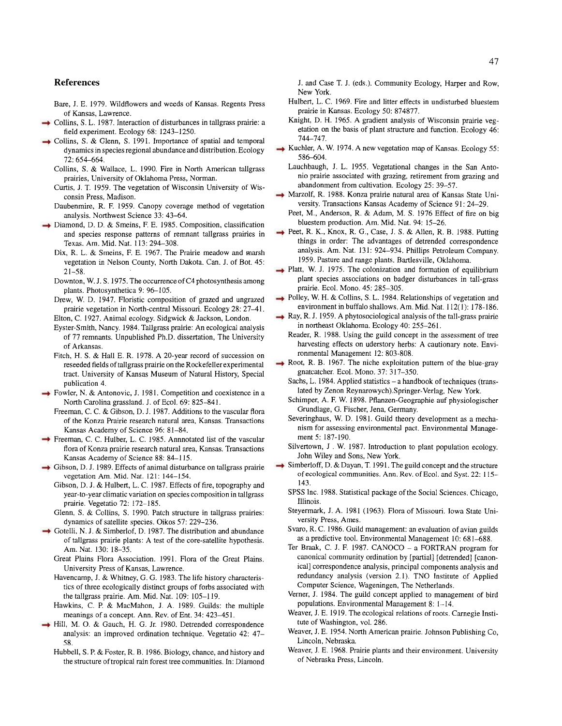#### **References**

**Bare, J. E. 1979. Wildflowers and weeds of Kansas. Regents Press of Kansas, Lawrence.** 

- **Collins, S. L. 1987. Interaction of disturbances in tallgrass prairie: a field experiment. Ecology 68: 1243-1250.**
- **Collins, S. & Glenn, S. 1991. Importance of spatial and temporal dynamics in species regional abundance and distribution. Ecology 72: 654-664.** 
	- **Collins, S. & Wallace, L. 1990. Fire in North American tallgrass prairies, University of Oklahoma Press, Norman.**
	- **Curtis, J. T. 1959. The vegetation of Wisconsin University of Wis consin Press, Madison.**
	- **Daubenmire, R. F. 1959. Canopy coverage method of vegetation analysis. Northwest Science 33: 43-64.**
- **Diamond, D. D. & Smeins, F. E. 1985. Composition, classification and species response patterns of remnant tallgrass prairies in Texas. Am. Mid. Nat. 113: 294-308.** 
	- **Dix, R. L. & Smeins, F. E. 1967. The Prairie meadow and marsh vegetation in Nelson County, North Dakota. Can. J. of Bot. 45: 21-58.**
	- **Downton, W. J. S. 1975. The occurrence of C4 photosynthesis among plants. Photosynthetica 9: 96-105.**
	- **Drew, W. D. 1947. Floristic composition of grazed and ungrazed prairie vegetation in North-central Missouri. Ecology 28: 27-41. Elton, C. 1927. Animal ecology. Sidgwick & Jackson, London.**
	- **Eyster-Smith, Nancy. 1984. Tallgrass prairie: An ecological analysis of 77 remnants. Unpublished Ph.D. dissertation, The University of Arkansas.**
	- **Fitch, H. S. & Hall E. R. 1978. A 20-year record of succession on reseeded fields of tallgrass prairie on the Rockefeller experimental tract. University of Kansas Museum of Natural History, Special publication 4.**
- **Fowler, N. & Antonovic, J. 1981. Competition and coexistence in a North Carolina grassland. J. of Ecol. 69: 825-841.** 
	- **Freeman, C. C. & Gibson, D. J. 1987. Additions to the vascular flora of the Konza Prairie research natural area, Kansas. Transactions Kansas Academy of Science 96: 81-84.**
- **Freeman, C. C. Hulber, L. C. 1985. Annnotated list of the vascular flora of Konza prairie research natural area, Kansas. Transactions Kansas Academy of Science 88: 84-115.**
- **Gibson, D. J. 1989. Effects of animal disturbance on tallgrass prairie vegetation Am. Mid. Nat. 121: 144-154.** 
	- **Gibson, D. J. & Hulbert, L. C. 1987. Effects of fire, topography and year-to-year climatic variation on species composition in tallgrass prairie. Vegetatio 72: 172-185.**
	- **Glenn, S. & Collins, S. 1990. Patch structure in tallgrass prairies: dynamics of satellite species. Oikos 57: 229-236.**
- **Gotelli, N. J. & Simberlof, D. 1987. The distribution and abundance of tallgrass prairie plants: A test of the core-satellite hypothesis. Am. Nat. 130: 18-35.** 
	- **Great Plains Flora Association. 1991. Flora of the Great Plains. University Press of Kansas, Lawrence.**
	- **Havencamp, J. & Whitney, G. G. 1983. The life history characteris tics of three ecologically distinct groups of forbs associated with the tallgrass prairie. Am. Mid. Nat. 109: 105-119.**
	- **Hawkins, C. P. & MacMahon, J. A. 1989. Guilds: the multiple meanings of a concept. Ann. Rev. of Ent. 34: 423-451.**
- **Hill, M. O. & Gauch, H. G. Jr. 1980. Detrended correspondence analysis: an improved ordination technique. Vegetatio 42: 47 58.** 
	- **Hubbell, S. P. & Foster, R. B. 1986. Biology, chance, and history and the structure of tropical rain forest tree communities. In: Diamond**

**J. and Case T. J. (eds.). Community Ecology, Harper and Row, New York.** 

- **Hulbert, L. C. 1969. Fire and litter effects in undisturbed bluestem prairie in Kansas. Ecology 50: 874877.**
- **Knight, D. H. 1965. A gradient analysis of Wisconsin prairie veg etation on the basis of plant structure and function. Ecology 46: 744-747.**
- **Kuchler, A. W. 1974. A new vegetation map of Kansas. Ecology 55: 586-604.** 
	- Lauchbaugh, J. L. 1955. Vegetational changes in the San Anto**nio prairie associated with grazing, retirement from grazing and abandonment from cultivation. Ecology 25: 39-57.**
- **Marzolf, R. 1988. Konza prairie natural area of Kansas State Uni versity. Transactions Kansas Academy of Science 91: 24-29.** 
	- **Peet, M., Anderson, R. & Adam, M. S. 1976 Effect of fire on big bluestem production. Am. Mid. Nat. 94: 15-26.**
- **Peet, R. K., Knox, R. G., Case, J. S. & Allen, R. B. 1988. Putting things in order: The advantages of detrended correspondence analysis. Am. Nat. 131: 924-934. Phillips Petroleum Company. 1959. Pasture and range plants. Bartlesville, Oklahoma.**
- **Platt, W. J. 1975. The colonization and formation of equilibrium plant species associations on badger disturbances in tall-grass prairie. Ecol. Mono. 45: 285-305.**
- **Polley, W. H. & Collins, S. L. 1984. Relationships of vegetation and environment in buffalo shallows. Am. Mid. Nat. 112(1): 178-186.**
- **Ray, R. J. 1959. A phytosociological analysis of the tall-grass prairie in northeast Oklahoma. Ecology 40: 255-261.** 
	- **Reader, R. 1988. Using the guild concept in the assessment of tree**  harvesting effects on uderstory herbs: A cautionary note. Envi**ronmental Management 12: 803-808.**
- **Root, R. B. 1967. The niche exploitation pattern of the blue-gray gnatcatcher. Ecol. Mono. 37: 317-350.** 
	- **Sachs, L. 1984. Applied statistics a handbook of techniques (trans lated by Zenon Reynarowych).Springer-Verlag, New York.**
	- **Schimper, A. F. W. 1898. Pflanzen-Geographie auf physiologischer Grundlage, G. Fischer, Jena, Germany.**
	- **Severinghaus, W. D. 1981. Guild theory development as a mecha nism for assessing environmental pact. Environmental Manage ment 5: 187-190.**
	- Silvertown, J. W. 1987. Introduction to plant population ecology. **John Wiley and Sons, New York.**
- **Simberloff, D. & Dayan, T. 1991. The guild concept and the structure of ecological communities. Ann. Rev. of Ecol. and Syst. 22: 115 143.** 
	- **SPSS Inc. 1988. Statistical package of the Social Sciences. Chicago, Illinois.**
	- **Steyermark, J. A. 1981 (1963). Flora of Missouri. Iowa State Uni versity Press, Ames.**
	- **S varo, R. C. 1986. Guild management: an evaluation of avian guilds as a predictive tool. Environmental Management 10: 681-688.**
	- Ter Braak, C. J. F. 1987. CANOCO a FORTRAN program for **canonical community ordination by [partial] [detrended] [canon ical] correspondence analysis, principal components analysis and redundancy analysis (version 2.1). TNO Institute of Applied Computer Science, Wageningen, The Netherlands.**
	- **Verner, J. 1984. The guild concept applied to management of bird populations. Environmental Management 8: 1-14.**
	- Weaver, J. E. 1919. The ecological relations of roots. Carnegie Insti**tute of Washington, vol. 286.**
	- **Weaver, J. E. 1954. North American prairie. Johnson Publishing Co, Lincoln, Nebraska.**
	- **Weaver, J. E. 1968. Prairie plants and their environment. University of Nebraska Press, Lincoln.**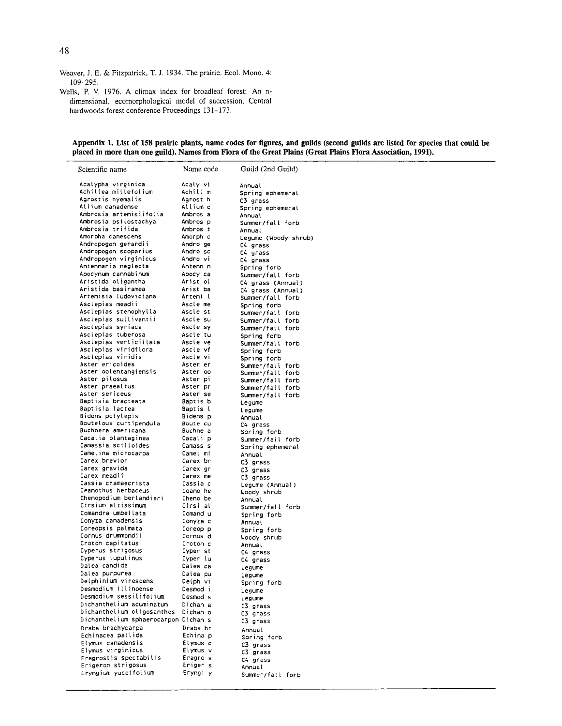- Weaver, J. E. & Fitzpatrick, T. J. 1934. The prairie. Ecol. Mono. 4: 109-295.
- Wells, P. V. 1976. A climax index for broadleaf forest: An ndimensional, ecomorphological model of succession. Central hardwoods forest conference Proceedings 131-173.

#### Appendix 1. List of 158 prairie plants, name codes for figures, and guilds (second guilds are listed for species that could be placed in more than one guild). Names from Flora of the Great Plains (Great Plains Flora Association, 1991).

| Scientific name                            | Name code            | Guild (2nd Guild)    |
|--------------------------------------------|----------------------|----------------------|
| Acalypha virginica                         | Acaly vi             | Annual               |
| Achillea millefolium                       | Achill m             | Spring ephemeral     |
| Agrostis hyemalis                          | Agrost h             | C3 grass             |
| Allium canadense                           | Allium c             | Spring ephemeral     |
| Ambrosia artemisiifolia                    | Ambros a             | Annual               |
| Ambrosia psilostachya                      | Ambros p             | Summer/fall forb     |
| Ambrosia trifida                           | Ambros t             | Annual               |
| Amorpha canescens                          | Amorph c             | Legume (Woody shrub) |
| Andropogon gerardii                        | Andro ge             | C4 grass             |
| Andropogon scoparius                       | Andro sc             | C4 grass             |
| Andropogon virginicus                      | Andro vi             | C4 grass             |
| Antennaria neglecta                        | Antenn n             | Spring forb          |
| Apocynum cannabinum                        | Apocy ca             | Summer/fall forb     |
| Aristida oligantha                         | Arist ol             | C4 grass (Annual)    |
| Aristida basiramea                         | Arist ba             | C4 grass (Annual)    |
| Artemisia ludoviciana                      | Artemi l             | Summer/fall forb     |
| Asclepias meadii                           | Ascle me             | Spring forb          |
| Asclepias stenophylla                      | Ascle st             | Summer/fall forb     |
| Asclepias sullivantii                      | Ascle su             | Summer/fall forb     |
| Asclepias syriaca                          | Ascle sy             | Summer/fall forb     |
| Asciepias tuberosa                         | Ascle tu             | Spring forb          |
| Asclepias verticillata                     | Ascle ve             | Summer/fall forb     |
| Asclepias viridflora                       | Ascle vf             | Spring forb          |
| Asclepias viridis                          | Ascle vi             | Spring forb          |
| Aster ericoides                            | Aster er             | Summer/fall forb     |
| Aster oolentangiensis                      | Aster oo             | Summer/fall forb     |
| Aster pilosus                              | Aster pi             | Summer/fall forb     |
| Aster praealtus                            | Aster pr             | Summer/fall forb     |
| Aster sericeus                             | Aster se             | Summer/fall forb     |
| Baptisia bracteata                         | Baptis b             | Legume               |
| Baptisia lactea                            | Baptis l             | legume               |
| Bidens polylepis<br>Bouteloua curtipendula | Bidens p             | Annual               |
| Buchnera americana                         | Boute cu<br>Buchne a | C4 grass             |
| Cacalia plantaginea                        | Cacali p             | Spring forb          |
| Camassia scilloides                        | Camass s             | Summer/fall forb     |
| Camelina microcarpa                        | Camel mi             | Spring ephemeral     |
| Carex brevior                              | Carex br             | Annual               |
| Carex gravida                              | Carex gr             | C3 grass<br>C3 grass |
| Carex meadii                               | Carex me             | C3 grass             |
| Cassia chamaecrista                        | Cassia c             | Legume (Annual)      |
| Ceanothus herbaceus                        | Ceano he             | Woody shrub          |
| Chenopodium berlandieri                    | Cheno be             | Annual               |
| Cirsium altissimum                         | Cirsi al             | Summer/fall forb     |
| Comandra umbellata                         | Comand u             | Spring forb          |
| Conyza canadensis                          | Conyza c             | Annual               |
| Coreopsis palmata                          | Coreop p             | Spring forb          |
| Cornus drummondii                          | Cornus d             | Woody shrub          |
| Croton capitatus                           | Croton c             | Annual               |
| Cyperus strigosus                          | Cyper st             | C4 grass             |
| Cyperus tuputinus                          | Cyper lu             | C4 grass             |
| Dalea candida                              | Dalea ca             | Legume               |
| Dalea purpurea                             | Dalea pu             | Legume               |
| Delphinium virescens                       | Deiph vi             | Spring forb          |
| Desmodium illinoense                       | Desmod i             | Legume               |
| Desmodium sessilifolium                    | Desmod s             | Legume               |
| Dichanthelium acuminatum                   | Dichan a             | C3 grass             |
| Dichanthelium oligosanthes                 | Dichan o             | C3 grass             |
| Dichanthelium sphaerocarpon Dichan s       |                      | C3 grass             |
| Draba brachycarpa                          | Draba br             | Annual               |
| Echinacea pallida                          | Echina p             | Spring forb          |
| Elymus canadensis                          | Elymus c             | C3 grass             |
| Elymus virginicus                          | Elymus v             | C3 grass             |
| Eragrostis spectabilis                     | Eragro s             | C4 grass             |
| Erigeron strigosus                         | Eriger s             | Annual               |
| Eryngium yuccifolium                       | Eryngi y             | Summer/fall forb     |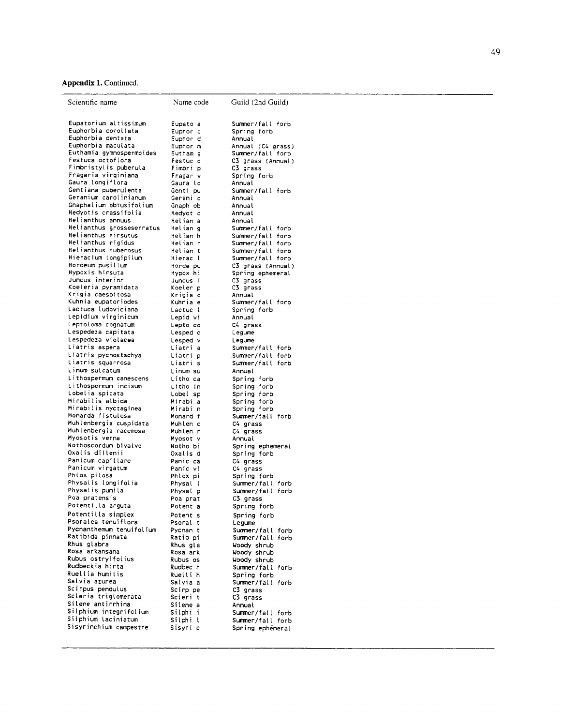# **Appendix 1. Continued.**

| Scientific name                                | Name code            | Guild (2nd Guild)                     |
|------------------------------------------------|----------------------|---------------------------------------|
| Eupatorium altissimum<br>Euphorbia corollata   | Eupato a<br>Euphor c | Summer/fall forb<br>Spring forb       |
| Euphorbia dentata                              | Euphor d             | Annual                                |
| Euphorbia maculata<br>Euthamia gymnospermoides | Euphor m             | Annual (C4 grass)<br>Summer/fall forb |
| Festuca octofiora                              | Eutham g<br>Festuc o | C3 grass (Annual)                     |
| Fimbristylis puberula                          | Fimbri p             | C3 grass                              |
| Fragaria virginiana                            | Fragar v             | Spring forb                           |
| Gaura longiflora                               | Gaura lo             | Annual                                |
| Gentiana puberulenta                           | Genti pu             | Summer/fall forb                      |
| Geranium carolinianum                          | Gerani c             | Annual                                |
| Gnaphalium obtusifolium                        | Gnaph ob             | Annual                                |
| Hedyotis crassifolia                           | Hedyot c             | Annual                                |
| Helianthus annuus<br>Helianthus grosseserratus | Helian a             | Annual                                |
| Helianthus hirsutus                            | Helian g<br>Helian h | Summer/fall forb                      |
| Helianthus rigidus                             | Helian r             | Summer/fall forb<br>Summer/fall forb  |
| Helianthus tuberosus                           | Helian t             | Summer/fall forb                      |
| Hieracium longipilum                           | Hierac l             | Summer/fall forb                      |
| Hordeum pusillum                               | Horde pu             | C3 grass (Annual)                     |
| Hypoxis hirsuta                                | Hypox hi             | Spring ephemeral                      |
| Juncus interior                                | Juncus i             | C3 grass                              |
| Koeleria pyramidata                            | Koeler p             | C3 grass                              |
| Krigia caespitosa                              | Krigia c             | Annual                                |
| Kuhnia eupatoriodes<br>Lactuca ludoviciana     | Kuhnia e             | Summer/fall forb                      |
| Lepidium virginicum                            | Lactuc i<br>Lepid vi | Spring forb<br>Annual                 |
| Leptoloma cognatum                             | Lepto co             | C4 grass                              |
| Lespedeza capitata                             | Lesped c             | Legume                                |
| Lespedeza violacea                             | Lesped v             | Legume                                |
| Liatris aspera                                 | Liatri a             | Summer/fall forb                      |
| Liatris pycnostachya                           | Liatri p             | Summer/fall forb                      |
| liatris squarrosa                              | Liatri s             | Summer/fall forb                      |
| Linum sulcatum                                 | Linum su             | Annual                                |
| Lithospermum canescens                         | Litho ca             | Spring forb                           |
| Lithospermum incisum                           | Litho in             | Spring forb                           |
| Lobelia spicata<br>Mirabilis albida            | Lobei sp             | Spring forb                           |
| Mirabilis nyctaginea                           | Mirabi a<br>Mirabi n | Spring forb<br>Spring forb            |
| Monarda fistulosa                              | Monard f             | Summer/fall forb                      |
| Muhlenbergia cuspidata                         | Muhlen c             | C4 grass                              |
| Muhlenbergia racemosa                          | Muhlen r             | C4 grass                              |
| Myosotis verna                                 | Myosot v             | Annual                                |
| Nothoscordum bivalve                           | Notho bi             | Spring ephemeral                      |
| Oxalis dillenii                                | Oxalis d             | Spring forb                           |
| Panicum capillare<br>Panicum virgatum          | Panic ca<br>Panic vi | C4 grass<br>C4 grass                  |
| Phlox pilosa                                   | Phlox pi             | Spring forb                           |
| Physalis longifolia                            | Physal l             | Summer/fall forb                      |
| Physalis pumila                                | Physal p             | Summer/fall forb                      |
| Poa pratensis                                  | Poa prat             | C3 grass                              |
| Potentilla arguta                              | Potent a             | Spring forb                           |
| Potentilla simplex                             | Potent s             | Spring forb                           |
| Psoralea tenuiflora                            | Psoral t             | Legume                                |
| Pycnanthemum tenuifolium                       | Pycnan t             | Summer/fall forb                      |
| Ratibida pinnata<br>Rhus glabra                | Ratib pi             | Summer/fall forb                      |
| Rosa arkansana                                 | Rhus gla<br>Rosa ark | Woody shrub<br>Woody shrub            |
| Rubus ostryifolius                             | Rubus os             | Woody shrub                           |
| Rudbeckia hirta                                | Rudbec h             | Summer/fall forb                      |
| Ruellia humilis                                | Ruelli h             | Spring forb                           |
| Salvia azurea                                  | Salvia a             | Summer/fall forb                      |
| Scirpus pendulus                               | Scirp pe             | C3 grass                              |
| Scieria trigiomerata                           | Scieri t             | C3 grass                              |
| Silene antirrhina<br>Silphium integrifolium    | Silene a             | Annual                                |
| Silphium laciniatum                            | Silphi i             | Summer/fall forb                      |
| Sisyrinchium campestre                         | Silphi l<br>Sisyri c | Summer/fall forb                      |
|                                                |                      | Spring ephèmeral                      |